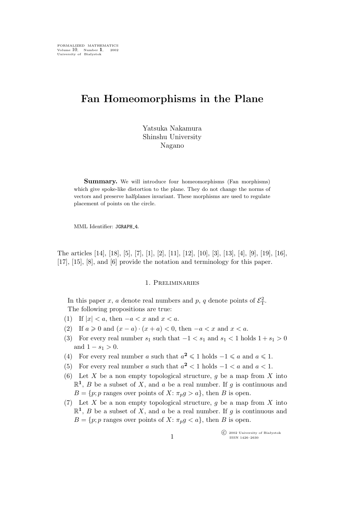# **Fan Homeomorphisms in the Plane**

Yatsuka Nakamura Shinshu University Nagano

**Summary.** We will introduce four homeomorphisms (Fan morphisms) which give spoke-like distortion to the plane. They do not change the norms of vectors and preserve halfplanes invariant. These morphisms are used to regulate placement of points on the circle.

MML Identifier: JGRAPH 4.

The articles [14], [18], [5], [7], [1], [2], [11], [12], [10], [3], [13], [4], [9], [19], [16], [17], [15], [8], and [6] provide the notation and terminology for this paper.

#### 1. Preliminaries

In this paper x, a denote real numbers and p, q denote points of  $\mathcal{E}_{\rm T}^2$ . The following propositions are true:

- (1) If  $|x| < a$ , then  $-a < x$  and  $x < a$ .
- (2) If  $a \ge 0$  and  $(x a) \cdot (x + a) < 0$ , then  $-a < x$  and  $x < a$ .
- (3) For every real number  $s_1$  such that  $-1 < s_1$  and  $s_1 < 1$  holds  $1 + s_1 > 0$ and  $1 - s_1 > 0$ .
- (4) For every real number a such that  $a^2 \leq 1$  holds  $-1 \leq a$  and  $a \leq 1$ .
- (5) For every real number a such that  $a^2 < 1$  holds  $-1 < a$  and  $a < 1$ .
- (6) Let X be a non empty topological structure, q be a map from X into  $\mathbb{R}^1$ , *B* be a subset of *X*, and *a* be a real number. If *g* is continuous and  $B = \{p; p \text{ ranges over points of } X: \pi_p g > a\}, \text{ then } B \text{ is open.}$
- (7) Let X be a non empty topological structure, g be a map from X into  $\mathbb{R}^1$ , *B* be a subset of *X*, and *a* be a real number. If *g* is continuous and  $B = \{p; p \text{ ranges over points of } X: \pi_p g < a\}, \text{ then } B \text{ is open.}$

°c 2002 University of Białystok ISSN 1426–2630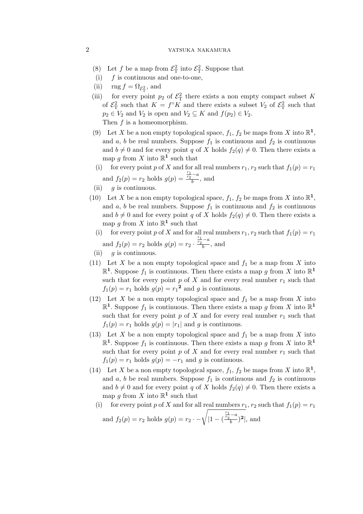- (8) Let f be a map from  $\mathcal{E}_{\rm T}^2$  into  $\mathcal{E}_{\rm T}^2$ . Suppose that
- (i)  $f$  is continuous and one-to-one,
- (ii)  $\text{rng } f = \Omega_{\mathcal{E}_{\mathrm{T}}^2}$ , and
- (iii) for every point  $p_2$  of  $\mathcal{E}_T^2$  there exists a non empty compact subset K of  $\mathcal{E}_{\rm T}^2$  such that  $K = f^\circ K$  and there exists a subset  $V_2$  of  $\mathcal{E}_{\rm T}^2$  such that  $p_2 \in V_2$  and  $V_2$  is open and  $V_2 \subseteq K$  and  $f(p_2) \in V_2$ . Then f is a homeomorphism.
- (9) Let X be a non empty topological space,  $f_1$ ,  $f_2$  be maps from X into  $\mathbb{R}^1$ , and a, b be real numbers. Suppose  $f_1$  is continuous and  $f_2$  is continuous and  $b \neq 0$  and for every point q of X holds  $f_2(q) \neq 0$ . Then there exists a map g from X into  $\mathbb{R}^1$  such that
- (i) for every point p of X and for all real numbers  $r_1$ ,  $r_2$  such that  $f_1(p) = r_1$ and  $f_2(p) = r_2$  holds  $g(p) =$  $\frac{r_1}{r_2}-a$  $\frac{1}{b}$ , and
- (ii)  $q$  is continuous.
- (10) Let X be a non empty topological space,  $f_1$ ,  $f_2$  be maps from X into  $\mathbb{R}^1$ , and a, b be real numbers. Suppose  $f_1$  is continuous and  $f_2$  is continuous and  $b \neq 0$  and for every point q of X holds  $f_2(q) \neq 0$ . Then there exists a map g from X into  $\mathbb{R}^1$  such that
	- (i) for every point p of X and for all real numbers  $r_1$ ,  $r_2$  such that  $f_1(p) = r_1$ and  $f_2(p) = r_2$  holds  $g(p) = r_2$ .  $\frac{r_1}{r_2}-a$  $\frac{1}{b}$ , and
- (ii)  $q$  is continuous.
- (11) Let X be a non empty topological space and  $f_1$  be a map from X into  $\mathbb{R}^1$ . Suppose  $f_1$  is continuous. Then there exists a map g from X into  $\mathbb{R}^1$ such that for every point p of X and for every real number  $r_1$  such that  $f_1(p) = r_1$  holds  $g(p) = r_1^2$  and g is continuous.
- (12) Let X be a non empty topological space and  $f_1$  be a map from X into  $\mathbb{R}^1$ . Suppose  $f_1$  is continuous. Then there exists a map g from X into  $\mathbb{R}^1$ such that for every point  $p$  of  $X$  and for every real number  $r_1$  such that  $f_1(p) = r_1$  holds  $g(p) = |r_1|$  and g is continuous.
- (13) Let X be a non empty topological space and  $f_1$  be a map from X into  $\mathbb{R}^1$ . Suppose  $f_1$  is continuous. Then there exists a map g from X into  $\mathbb{R}^1$ such that for every point p of X and for every real number  $r_1$  such that  $f_1(p) = r_1$  holds  $g(p) = -r_1$  and g is continuous.
- (14) Let X be a non empty topological space,  $f_1$ ,  $f_2$  be maps from X into  $\mathbb{R}^1$ , and a, b be real numbers. Suppose  $f_1$  is continuous and  $f_2$  is continuous and  $b \neq 0$  and for every point q of X holds  $f_2(q) \neq 0$ . Then there exists a map g from X into  $\mathbb{R}^1$  such that
	- (i) for every point p of X and for all real numbers  $r_1, r_2$  such that  $f_1(p) = r_1$ and  $f_2(p) = r_2$  holds  $g(p) = r_2 \cdot -\sqrt{|1 - (p_2 - p_1)|}$  $\frac{r_1}{r_2} - a$  $\frac{(-a)}{b}$ <sup>2</sup>, and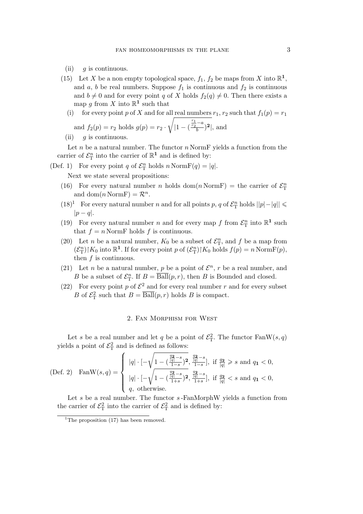- (ii)  $q$  is continuous.
- (15) Let X be a non empty topological space,  $f_1$ ,  $f_2$  be maps from X into  $\mathbb{R}^1$ , and a, b be real numbers. Suppose  $f_1$  is continuous and  $f_2$  is continuous and  $b \neq 0$  and for every point q of X holds  $f_2(q) \neq 0$ . Then there exists a map g from X into  $\mathbb{R}^1$  such that
	- (i) for every point p of X and for all real numbers  $r_1$ ,  $r_2$  such that  $f_1(p) = r_1$ and  $f_2(p) = r_2$  holds  $g(p) = r_2$ . <sup>1</sup> *|*1 *−* (  $\frac{r_1}{r_2}-a$  $\frac{a}{b}$ <sup>2</sup>, and
	- (ii)  $q$  is continuous.

Let  $n$  be a natural number. The functor  $n$  NormF yields a function from the carrier of  $\mathcal{E}_{\mathrm{T}}^n$  into the carrier of  $\mathbb{R}^1$  and is defined by:

(Def. 1) For every point q of  $\mathcal{E}_{\rm T}^n$  holds  $n \text{ NormF}(q) = |q|$ .

Next we state several propositions:

- (16) For every natural number *n* holds dom(*n* NormF) = the carrier of  $\mathcal{E}_{\rm T}^n$ and  $dom(n \text{NormF}) = \mathcal{R}^n$ .
- (18)<sup>1</sup> For every natural number *n* and for all points *p*, *q* of  $\mathcal{E}_{\rm T}^n$  holds  $||p| |q||$  ≤ *|*p *−* q*|*.
- (19) For every natural number *n* and for every map *f* from  $\mathcal{E}_{\rm T}^n$  into  $\mathbb{R}^1$  such that  $f = n$  NormF holds f is continuous.
- (20) Let *n* be a natural number,  $K_0$  be a subset of  $\mathcal{E}_{\rm T}^n$ , and f be a map from  $(\mathcal{E}_{\mathrm{T}}^n)$  |  $K_0$  into  $\mathbb{R}^1$ . If for every point p of  $(\mathcal{E}_{\mathrm{T}}^n)$  |  $K_0$  holds  $f(p) = n \text{ NormF}(p)$ , then f is continuous.
- (21) Let *n* be a natural number, *p* be a point of  $\mathcal{E}^n$ , *r* be a real number, and B be a subset of  $\mathcal{E}_{\mathrm{T}}^{n}$ . If  $B = \overline{\mathrm{Ball}}(p, r)$ , then B is Bounded and closed.
- (22) For every point p of  $\mathcal{E}^2$  and for every real number r and for every subset B of  $\mathcal{E}_{\mathrm{T}}^2$  such that  $B = \overline{\mathrm{Ball}}(p,r)$  holds B is compact.

## 2. Fan Morphism for West

Let s be a real number and let q be a point of  $\mathcal{E}_{\rm T}^2$ . The functor  $\text{FanW}(s,q)$ yields a point of  $\mathcal{E}_{\mathrm{T}}^2$  and is defined as follows:

(Def. 2) 
$$
\text{FanW}(s, q) = \begin{cases} |q| \cdot \left[ -\sqrt{1 - \left( \frac{\frac{q_2}{|q|} - s}{1 - s} \right)^2}, \frac{\frac{q_2}{|q|} - s}{1 - s} \right], \text{ if } \frac{q_2}{|q|} \ge s \text{ and } q_1 < 0, \\ |q| \cdot \left[ -\sqrt{1 - \left( \frac{\frac{q_2}{|q|} - s}{1 + s} \right)^2}, \frac{\frac{q_2}{|q|} - s}{1 + s} \right], \text{ if } \frac{q_2}{|q|} < s \text{ and } q_1 < 0, \\ q, \text{ otherwise.} \end{cases}
$$

Let  $s$  be a real number. The functor  $s$ -FanMorphW yields a function from the carrier of  $\mathcal{E}_{\rm T}^2$  into the carrier of  $\mathcal{E}_{\rm T}^2$  and is defined by:

<sup>&</sup>lt;sup>1</sup>The proposition  $(17)$  has been removed.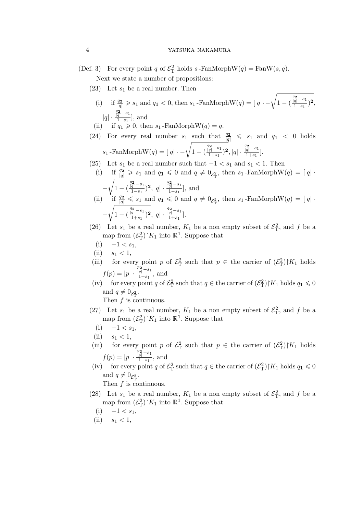- (Def. 3) For every point q of  $\mathcal{E}_T^2$  holds  $s$ -FanMorphW(q) = FanW(s,q). Next we state a number of propositions:
	- $(23)$  Let  $s_1$  be a real number. Then
		- (i) if  $\frac{q_2}{|q|} \geqslant s_1$  and  $q_1 < 0$ , then  $s_1$ -FanMorphW $(q) = |[q| \sqrt{1 (q_1 q_2)}]$  $\frac{q_2}{|q|} - s_1$  $\frac{\overline{\overline{q}^{\top}^{-s_{1}}}}{1-s_{1}})^{\mathbf{2}},$ *|*q*| ·*  $\frac{q_2}{|q|} - s_1$ <sup>q</sup><sup>[-1</sup>], and
		- (ii) if  $q_1 \geqslant 0$ , then  $s_1$ -FanMorphW $(q) = q$ .
	- (24) For every real number  $s_1$  such that  $\frac{q_2}{|q|} \leq s_1$  and  $q_1 < 0$  holds  $s_1$  -FanMorphW $(q) = [|q|\cdot - \sqrt{1 - (q^2 + 1)^2}]$  $\frac{q_2}{|q|} - s_1$  $\frac{\frac{q_2}{q} - s_1}{1 + s_1}$ <sup>2</sup>,  $|q| \cdot \frac{\frac{q_2}{|q|} - s_1}{1 + s_1}$  $\frac{q|}{1+s_1}$ .
	- (25) Let  $s_1$  be a real number such that  $-1 < s_1$  and  $s_1 < 1$ . Then
	- (i) if  $\frac{q_2}{|q|} \geqslant s_1$  and  $q_1 \leqslant 0$  and  $q \neq 0_{\mathcal{E}^2_\mathcal{T}}$ , then  $s_1$ -FanMorphW $(q) = |q|$ . *−* <sup>1</sup> 1 *−* (  $\frac{q_2}{|q|} - s_1$  $\frac{\frac{q_2}{q} - s_1}{1 - s_1}$ <sup>2</sup>, |*q*| ·  $\frac{\frac{q_2}{|q|} - s_1}{1 - s_1}$ <sup>q</sup><sup>[-1</sup>], and (ii) if  $\frac{q_2}{|q|} \leq s_1$  and  $q_1 \leq 0$  and  $q \neq 0_{\mathcal{E}_T^2}$ , then  $s_1$ -FanMorphW $(q) = |q|$ . *−* <sup>1</sup> 1 *−* (  $\frac{q_2}{|q|} - s_1$  $\frac{\frac{q_2}{q} - s_1}{1 + s_1}$ <sup>2</sup>,  $|q| \cdot \frac{\frac{q_2}{|q|} - s_1}{1 + s_1}$  $\frac{q|}{1+s_1}$ .
	- (26) Let  $s_1$  be a real number,  $K_1$  be a non empty subset of  $\mathcal{E}_T^2$ , and f be a map from  $(\mathcal{E}_{\mathcal{T}}^2)|K_1$  into  $\mathbb{R}^1$ . Suppose that
		- $(i)$  −1 <  $s_1$ ,
	- (ii)  $s_1 < 1$ ,
	- (iii) for every point p of  $\mathcal{E}_T^2$  such that  $p \in \mathcal{E}_T$  the carrier of  $(\mathcal{E}_T^2)|K_1|$  holds  $f(p) = |p| \cdot \cdot$  $\frac{p_{2}}{|p|} - s_{1}$ <sup>*p*|  $\frac{r}{1-s_1}$ </sup>, and
	- (iv) for every point q of  $\mathcal{E}_{\rm T}^2$  such that  $q \in \mathfrak{t}$  he carrier of  $(\mathcal{E}_{\rm T}^2)|K_1|$  holds  $q_1 \leq 0$ and  $q \neq 0_{\mathcal{E}_{\mathrm{T}}^2}$ .

- (27) Let  $s_1$  be a real number,  $K_1$  be a non empty subset of  $\mathcal{E}_T^2$ , and f be a map from  $(\mathcal{E}_{\mathcal{T}}^2)|K_1$  into  $\mathbb{R}^1$ . Suppose that
	- $(i)$  −1 <  $s_1$ ,
	- (ii)  $s_1 < 1$ ,
- (iii) for every point p of  $\mathcal{E}_T^2$  such that  $p \in \mathcal{E}_T$  the carrier of  $(\mathcal{E}_T^2)|K_1|$  holds  $f(p) = |p| \cdot \cdot$  $\frac{p_{2}}{|p|} - s_{1}$  $\frac{p|}{1+s_1}$ , and
- (iv) for every point q of  $\mathcal{E}_{\rm T}^2$  such that  $q \in \text{the carrier of } (\mathcal{E}_{\rm T}^2) \upharpoonright K_1$  holds  $q_1 \leq 0$ and  $q \neq 0_{\mathcal{E}_{\mathrm{T}}^2}$ . Then  $f$  is continuous.
- (28) Let  $s_1$  be a real number,  $K_1$  be a non empty subset of  $\mathcal{E}_T^2$ , and f be a map from  $(\mathcal{E}_{\mathcal{T}}^2)|K_1$  into  $\mathbb{R}^1$ . Suppose that
	- $(i)$  −1 <  $s_1$ ,
- (ii)  $s_1 < 1$ ,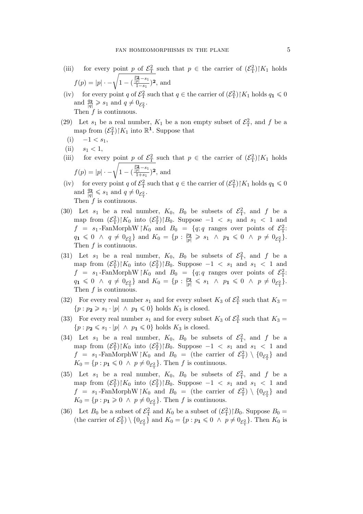- (iii) for every point p of  $\mathcal{E}_T^2$  such that  $p \in \mathcal{E}_T$  the carrier of  $(\mathcal{E}_T^2)|K_1|$  holds  $f(p) = |p| \cdot -\sqrt{1 - ($  $\frac{p_{2}}{|p|} - s_{1}$  $\frac{\frac{1}{p} - s_1}{1 - s_1}$ )<sup>2</sup>, and
- (iv) for every point q of  $\mathcal{E}_{\rm T}^2$  such that  $q \in \mathfrak{t}$  the carrier of  $(\mathcal{E}_{\rm T}^2)|K_1|$  holds  $q_1 \leq 0$ and  $\frac{q_2}{|q|} \geqslant s_1$  and  $q \neq 0_{\mathcal{E}_{\Gamma}^2}$ . Then  $f$  is continuous.
- (29) Let  $s_1$  be a real number,  $K_1$  be a non empty subset of  $\mathcal{E}_T^2$ , and f be a map from  $(\mathcal{E}_{\mathcal{T}}^2)|K_1$  into  $\mathbb{R}^1$ . Suppose that
- $(i)$  −1 <  $s_1$ ,
- (ii)  $s_1 < 1$ ,
- (iii) for every point p of  $\mathcal{E}_T^2$  such that  $p \in \mathcal{E}_T$  the carrier of  $(\mathcal{E}_T^2)|K_1|$  holds  $f(p) = |p| \cdot -\sqrt{1 - ($  $\frac{p_{2}}{|p|} - s_{1}$  $\frac{\overline{p}^{-s_1}}{1+s_1}$ <sup>2</sup>, and
- (iv) for every point q of  $\mathcal{E}_{\rm T}^2$  such that  $q \in \text{the carrier of } (\mathcal{E}_{\rm T}^2) \restriction K_1$  holds  $q_1 \leq 0$ and  $\frac{q_2}{|q|} \leqslant s_1$  and  $q \neq 0_{\mathcal{E}_{\mathrm{T}}^2}$ . Then  $f$  is continuous.
- (30) Let  $s_1$  be a real number,  $K_0$ ,  $B_0$  be subsets of  $\mathcal{E}_T^2$ , and f be a map from  $(\mathcal{E}_{\rm T}^2)|K_0$  into  $(\mathcal{E}_{\rm T}^2)|B_0$ . Suppose  $-1 < s_1$  and  $s_1 < 1$  and  $f = s_1$ -FanMorphW | $K_0$  and  $B_0 = \{q; q \text{ ranges over points of } \mathcal{E}_{\mathrm{T}}^2$ :  $q_1 \leq 0 \ \land \ q \neq 0_{\mathcal{E}_{\mathrm{T}}^2} \}$  and  $K_0 = \{p : \frac{p_2}{|p|} \geqslant s_1 \ \land \ p_1 \leqslant 0 \ \land \ p \neq 0_{\mathcal{E}_{\mathrm{T}}^2} \}.$ Then  $f$  is continuous.
- (31) Let  $s_1$  be a real number,  $K_0$ ,  $B_0$  be subsets of  $\mathcal{E}_T^2$ , and f be a map from  $(\mathcal{E}_{\rm T}^2)|K_0$  into  $(\mathcal{E}_{\rm T}^2)|B_0$ . Suppose  $-1 < s_1$  and  $s_1 < 1$  and  $f = s_1$ -FanMorphW | $K_0$  and  $B_0 = \{q; q \text{ ranges over points of } \mathcal{E}_{\mathrm{T}}^2$ :  $q_1 \leq 0 \ \land \ q \neq 0_{\mathcal{E}_T^2}$  and  $K_0 = \{p : \frac{p_2}{|p|} \leqslant s_1 \ \land \ p_1 \leqslant 0 \ \land \ p \neq 0_{\mathcal{E}_T^2}\}.$ Then f is continuous.
- (32) For every real number  $s_1$  and for every subset  $K_3$  of  $\mathcal{E}^2$  such that  $K_3 =$  $\{p : p_2 \geq s_1 \cdot |p| \land p_1 \leq 0\}$  holds  $K_3$  is closed.
- (33) For every real number  $s_1$  and for every subset  $K_3$  of  $\mathcal{E}^2$  such that  $K_3 =$  ${p : p_2 \leq s_1 \cdot |p| \land p_1 \leq 0}$  holds  $K_3$  is closed.
- (34) Let  $s_1$  be a real number,  $K_0$ ,  $B_0$  be subsets of  $\mathcal{E}_T^2$ , and f be a map from  $(\mathcal{E}_{\rm T}^2)|K_0$  into  $(\mathcal{E}_{\rm T}^2)|B_0$ . Suppose  $-1 < s_1$  and  $s_1 < 1$  and  $f = s_1$ -FanMorphW | $K_0$  and  $B_0 =$  (the carrier of  $\mathcal{E}_{\rm T}^2$ )  $\setminus \{0_{\mathcal{E}_{\rm T}^2}\}\$  and  $K_0 = \{p : p_1 \leq 0 \land p \neq 0_{\mathcal{E}^2_\mathcal{T}}\}.$  Then f is continuous.
- (35) Let  $s_1$  be a real number,  $K_0$ ,  $B_0$  be subsets of  $\mathcal{E}_T^2$ , and f be a map from  $(\mathcal{E}_{\rm T}^2)|K_0$  into  $(\mathcal{E}_{\rm T}^2)|B_0$ . Suppose  $-1 < s_1$  and  $s_1 < 1$  and  $f = s_1$ -FanMorphW | $K_0$  and  $B_0 =$  (the carrier of  $\mathcal{E}_{\rm T}^2$ )  $\setminus \{0_{\mathcal{E}_{\rm T}^2}\}\$  and  $K_0 = \{p : p_1 \geq 0 \land p \neq 0_{\mathcal{E}^2_\mathcal{T}}\}.$  Then f is continuous.
- (36) Let  $B_0$  be a subset of  $\mathcal{E}_T^2$  and  $K_0$  be a subset of  $(\mathcal{E}_T^2)|B_0$ . Suppose  $B_0 =$ (the carrier of  $\mathcal{E}_{\rm T}^2$ )  $\setminus \{0_{\mathcal{E}_{\rm T}^2}\}\$  and  $K_0 = \{p : p_1 \leq 0 \land p \neq 0_{\mathcal{E}_{\rm T}^2}\}\$ . Then  $K_0$  is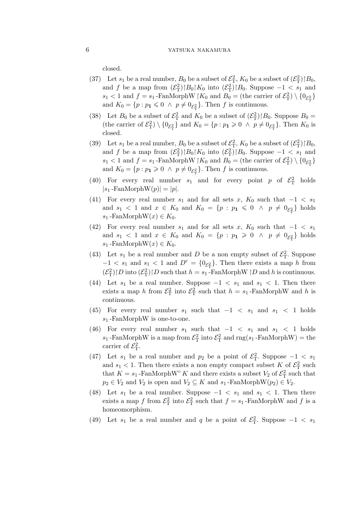closed.

- (37) Let  $s_1$  be a real number,  $B_0$  be a subset of  $\mathcal{E}_T^2$ ,  $K_0$  be a subset of  $(\mathcal{E}_T^2)$   $|B_0$ , and f be a map from  $(\mathcal{E}_{\rm T}^2)|B_0|K_0$  into  $(\mathcal{E}_{\rm T}^2)|B_0$ . Suppose  $-1 < s_1$  and  $s_1 < 1$  and  $f = s_1$ -FanMorphW |K<sub>0</sub> and  $B_0 =$  (the carrier of  $\mathcal{E}_{\rm T}^2$ ) \  $\{0_{\mathcal{E}_{\rm T}^2}\}$ and  $K_0 = \{p : p_1 \leq 0 \land p \neq 0_{\mathcal{E}_{\Gamma}^2}\}\.$  Then f is continuous.
- (38) Let  $B_0$  be a subset of  $\mathcal{E}_{\rm T}^2$  and  $K_0$  be a subset of  $(\mathcal{E}_{\rm T}^2)|B_0$ . Suppose  $B_0 =$ (the carrier of  $\mathcal{E}_{\rm T}^2$ )  $\setminus \{0_{\mathcal{E}_{\rm T}^2}\}\$  and  $K_0 = \{p : p_1 \geq 0 \ \wedge \ p \neq 0_{\mathcal{E}_{\rm T}^2}\}\$ . Then  $K_0$  is closed.
- (39) Let  $s_1$  be a real number,  $B_0$  be a subset of  $\mathcal{E}^2$ ,  $K_0$  be a subset of  $(\mathcal{E}^2)$   $|B_0$ , and f be a map from  $(\mathcal{E}_{\mathcal{T}}^2) \upharpoonright B_0 \upharpoonright K_0$  into  $(\mathcal{E}_{\mathcal{T}}^2) \upharpoonright B_0$ . Suppose  $-1 < s_1$  and  $s_1 < 1$  and  $f = s_1$ -FanMorphW |K<sub>0</sub> and  $B_0 =$  (the carrier of  $\mathcal{E}_{\rm T}^2$ ) \  $\{0_{\mathcal{E}_{\rm T}^2}\}$ and  $K_0 = \{p : p_1 \geq 0 \land p \neq 0_{\mathcal{E}_T^2}\}$ . Then f is continuous.
- (40) For every real number  $s_1$  and for every point p of  $\mathcal{E}^2$  holds  $|s_1$ -FanMorphW $(p)| = |p|$ .
- (41) For every real number  $s_1$  and for all sets x,  $K_0$  such that  $-1 < s_1$ and  $s_1 < 1$  and  $x \in K_0$  and  $K_0 = \{p : p_1 \leq 0 \land p \neq 0_{\mathcal{E}_T^2}\}\$  holds  $s_1$  -FanMorphW $(x) \in K_0$ .
- (42) For every real number  $s_1$  and for all sets x,  $K_0$  such that  $-1 < s_1$ and  $s_1 < 1$  and  $x \in K_0$  and  $K_0 = \{p : p_1 \geq 0 \land p \neq 0_{\mathcal{E}_T^2}\}\$  holds  $s_1$ -FanMorphW $(x) \in K_0$ .
- (43) Let  $s_1$  be a real number and D be a non empty subset of  $\mathcal{E}_T^2$ . Suppose  $-1 < s_1$  and  $s_1 < 1$  and  $D<sup>c</sup> = \{0_{\mathcal{E}_T^2}\}\$ . Then there exists a map h from  $(\mathcal{E}_{\mathrm{T}}^2)\upharpoonright D$  into  $(\mathcal{E}_{\mathrm{T}}^2)\upharpoonright D$  such that  $h = s_1$ -FanMorphW  $\upharpoonright D$  and h is continuous.
- (44) Let  $s_1$  be a real number. Suppose  $-1 < s_1$  and  $s_1 < 1$ . Then there exists a map h from  $\mathcal{E}_{\rm T}^2$  into  $\mathcal{E}_{\rm T}^2$  such that  $h = s_1$ -FanMorphW and h is continuous.
- (45) For every real number  $s_1$  such that  $-1 < s_1$  and  $s_1 < 1$  holds  $s_1$ -FanMorphW is one-to-one.
- (46) For every real number  $s_1$  such that  $-1 < s_1$  and  $s_1 < 1$  holds  $s_1$ -FanMorphW is a map from  $\mathcal{E}_{\rm T}^2$  into  $\mathcal{E}_{\rm T}^2$  and  ${\rm rng}(s_1\text{-FanMorphW})$  = the carrier of  $\mathcal{E}_{\rm T}^2$ .
- (47) Let  $s_1$  be a real number and  $p_2$  be a point of  $\mathcal{E}_T^2$ . Suppose  $-1 < s_1$ and  $s_1 < 1$ . Then there exists a non empty compact subset K of  $\mathcal{E}^2$  such that  $K = s_1$ -FanMorphW<sup>°</sup> K and there exists a subset  $V_2$  of  $\mathcal{E}^2$  such that  $p_2 \in V_2$  and  $V_2$  is open and  $V_2 \subseteq K$  and  $s_1$ -FanMorphW $(p_2) \in V_2$ .
- (48) Let  $s_1$  be a real number. Suppose  $-1 < s_1$  and  $s_1 < 1$ . Then there exists a map f from  $\mathcal{E}_{\rm T}^2$  into  $\mathcal{E}_{\rm T}^2$  such that  $f = s_1$ -FanMorphW and f is a homeomorphism.
- (49) Let  $s_1$  be a real number and q be a point of  $\mathcal{E}_T^2$ . Suppose  $-1 < s_1$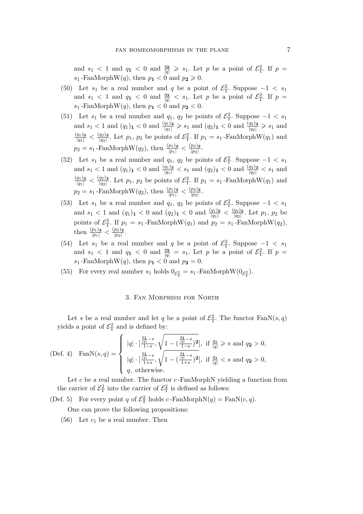and  $s_1 < 1$  and  $q_1 < 0$  and  $\frac{q_2}{|q|} \geq s_1$ . Let p be a point of  $\mathcal{E}_T^2$ . If  $p =$  $s_1$ -FanMorphW(q), then  $p_1 < 0$  and  $p_2 \ge 0$ .

- (50) Let  $s_1$  be a real number and q be a point of  $\mathcal{E}_T^2$ . Suppose  $-1 < s_1$ and  $s_1 < 1$  and  $q_1 < 0$  and  $\frac{q_2}{|q|} < s_1$ . Let p be a point of  $\mathcal{E}_T^2$ . If  $p =$  $s_1$ -FanMorphW(q), then  $p_1 < 0$  and  $p_2 < 0$ .
- (51) Let  $s_1$  be a real number and  $q_1, q_2$  be points of  $\mathcal{E}_T^2$ . Suppose  $-1 < s_1$ and  $s_1 < 1$  and  $(q_1)$ <sub>1</sub>  $< 0$  and  $\frac{(q_1)_2}{|q_1|} \geqslant s_1$  and  $(q_2)$ <sub>1</sub>  $< 0$  and  $\frac{(q_2)_2}{|q_2|} \geqslant s_1$  and  $\frac{(q_1)_2}{|q_1|} < \frac{(q_2)_2}{|q_2|}$  $\frac{q_2}{|q_2|}$ . Let  $p_1$ ,  $p_2$  be points of  $\mathcal{E}_{\rm T}^2$ . If  $p_1 = s_1$ -FanMorphW $(q_1)$  and  $p_2 = s_1$ -FanMorphW $(q_2)$ , then  $\frac{(p_1)_2}{|p_1|} < \frac{(p_2)_2}{|p_2|}$  $\frac{p_2}{|p_2|}$ .
- (52) Let  $s_1$  be a real number and  $q_1, q_2$  be points of  $\mathcal{E}_T^2$ . Suppose  $-1 < s_1$ and  $s_1 < 1$  and  $(q_1)$ <sub>1</sub>  $< 0$  and  $\frac{(q_1)_2}{|q_1|} < s_1$  and  $(q_2)$ <sub>1</sub>  $< 0$  and  $\frac{(q_2)_2}{|q_2|} < s_1$  and  $\frac{(q_1)_2}{|q_1|} < \frac{(q_2)_2}{|q_2|}$  $\frac{q_2}{|q_2|}$ . Let  $p_1$ ,  $p_2$  be points of  $\mathcal{E}_{\rm T}^2$ . If  $p_1 = s_1$ -FanMorphW $(q_1)$  and  $p_2 = s_1$ -FanMorphW $(q_2)$ , then  $\frac{(p_1)_2}{|p_1|} < \frac{(p_2)_2}{|p_2|}$  $\frac{p_2}{|p_2|}$ .
- (53) Let  $s_1$  be a real number and  $q_1$ ,  $q_2$  be points of  $\mathcal{E}_T^2$ . Suppose  $-1 < s_1$ and  $s_1 < 1$  and  $(q_1)$ <sub>1</sub>  $< 0$  and  $(q_2)$ <sub>1</sub>  $< 0$  and  $\frac{(q_1)_2}{|q_1|} < \frac{(q_2)_2}{|q_2|}$  $\frac{q_2}{|q_2|}$ . Let  $p_1, p_2$  be points of  $\mathcal{E}_{\rm T}^2$ . If  $p_1 = s_1$ -FanMorphW $(q_1)$  and  $p_2 = s_1$ -FanMorphW $(q_2)$ , then  $\frac{(p_1)_2}{|p_1|} < \frac{(p_2)_2}{|p_2|}$  $\frac{p_2}{|p_2|}$ .
- (54) Let  $s_1$  be a real number and q be a point of  $\mathcal{E}_T^2$ . Suppose  $-1 < s_1$ and  $s_1 < 1$  and  $q_1 < 0$  and  $\frac{q_2}{|q|} = s_1$ . Let p be a point of  $\mathcal{E}_T^2$ . If  $p =$  $s_1$ -FanMorphW(q), then  $p_1 < 0$  and  $p_2 = 0$ .
- (55) For every real number  $s_1$  holds  $0_{\mathcal{E}_{\mathcal{T}}^2} = s_1$ -FanMorphW $(0_{\mathcal{E}_{\mathcal{T}}^2})$ .

# 3. Fan Morphism for North

Let s be a real number and let q be a point of  $\mathcal{E}_{\rm T}^2$ . The functor  $\text{FanN}(s,q)$ yields a point of  $\mathcal{E}^2_T$  and is defined by:

(Def. 4) 
$$
\text{FanN}(s, q) = \begin{cases} |q| \cdot \left[\frac{\frac{q_1}{|q|} - s}{1 - s}, \sqrt{1 - \left(\frac{\frac{q_1}{|q|} - s}{1 - s}\right)^2}\right], \text{ if } \frac{q_1}{|q|} \geq s \text{ and } q_2 > 0, \\ |q| \cdot \left[\frac{\frac{q_1}{|q|} - s}{1 + s}, \sqrt{1 - \left(\frac{\frac{q_1}{|q|} - s}{1 + s}\right)^2}\right], \text{ if } \frac{q_1}{|q|} < s \text{ and } q_2 > 0, \\ q, \text{ otherwise.} \end{cases}
$$

Let  $c$  be a real number. The functor  $c$ -FanMorphN yielding a function from the carrier of  $\mathcal{E}_{\rm T}^2$  into the carrier of  $\mathcal{E}_{\rm T}^2$  is defined as follows:

(Def. 5) For every point q of  $\mathcal{E}_{\rm T}^2$  holds c-FanMorphN(q) = FanN(c, q).

One can prove the following propositions:

(56) Let  $c_1$  be a real number. Then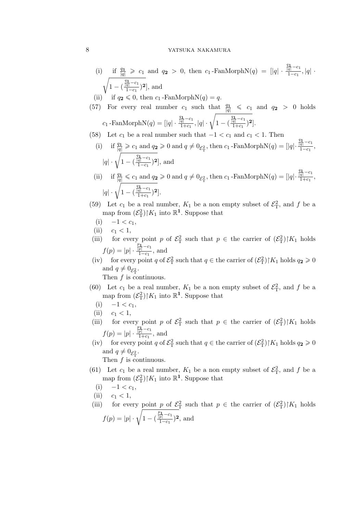# 8 YATSUKA NAKAMURA

(i) if 
$$
\frac{q_1}{|q|} \ge c_1
$$
 and  $q_2 > 0$ , then  $c_1$ -FanMorphN( $q$ ) =  $||q| \cdot \frac{\frac{q_1}{|q|} - c_1}{1 - c_1}$ ,  $|q| \cdot \sqrt{1 - (\frac{\frac{q_1}{|q|} - c_1}{1 - c_1})^2}$ , and

(ii) if  $q_2 \leq 0$ , then  $c_1$ -FanMorphN(q) = q.

(57) For every real number 
$$
c_1
$$
 such that  $\frac{q_1}{|q|} \leqslant c_1$  and  $q_2 > 0$  holds  $c_1$ -FanMorph $N(q) = [|q| \cdot \frac{\frac{q_1}{|q|} - c_1}{1 + c_1}, |q| \cdot \sqrt{1 - (\frac{\frac{q_1}{|q|} - c_1}{1 + c_1})^2}].$ 

(58) Let 
$$
c_1
$$
 be a real number such that  $-1 < c_1$  and  $c_1 < 1$ . Then

(i) if  $\frac{q_1}{|q|} \geqslant c_1$  and  $q_2 \geqslant 0$  and  $q \neq 0_{\mathcal{E}_{\mathrm{T}}^2}$ , then  $c_1$ -FanMorphN $(q) = |q|$ ·  $\frac{q_1}{|q|} - c_1$  $\frac{q_1}{1-c_1}$  $|q| \cdot \sqrt{1 - ($  $\frac{q_1}{|q|} - c_1$  $\frac{\frac{1}{q} - c_1}{1 - c_1}$ <sup>2</sup>, and  $\frac{q_1}{|q|} - c_1$ 

(ii) if 
$$
\frac{q_1}{|q|} \leq c_1
$$
 and  $q_2 \geq 0$  and  $q \neq 0_{\mathcal{E}_T^2}$ , then  $c_1$ -FanMorphN( $q$ ) =  $[|q| \cdot \frac{\frac{\overline{q_1} - c_1}{\overline{1} + c_1}}{1 + c_1},$   
\n $|q| \cdot \sqrt{1 - (\frac{\frac{q_1}{|q|} - c_1}{1 + c_1})^2}].$ 

- (59) Let  $c_1$  be a real number,  $K_1$  be a non empty subset of  $\mathcal{E}_T^2$ , and f be a map from  $(\mathcal{E}_{\mathcal{T}}^2)|K_1$  into  $\mathbb{R}^1$ . Suppose that
	- $(i)$  −1 <  $c_1$ ,
- (ii)  $c_1 < 1$ ,
- (iii) for every point p of  $\mathcal{E}_T^2$  such that  $p \in \mathcal{E}_T$  the carrier of  $(\mathcal{E}_T^2)|K_1|$  holds  $f(p) = |p| \cdot \cdot$  $\frac{p_1}{|p|} - c_1$  $\frac{p|-\frac{c_1}{c_1}}{1-c_1}$ , and
- (iv) for every point q of  $\mathcal{E}_{\rm T}^2$  such that  $q \in \mathfrak{t}$  he carrier of  $(\mathcal{E}_{\rm T}^2)|K_1|$  holds  $q_2 \geq 0$ and  $q \neq 0_{\mathcal{E}_{\mathrm{T}}^2}$ .
	- Then  $f$  is continuous.
- (60) Let  $c_1$  be a real number,  $K_1$  be a non empty subset of  $\mathcal{E}_T^2$ , and f be a map from  $(\mathcal{E}_{\mathcal{T}}^2)|K_1$  into  $\mathbb{R}^1$ . Suppose that
	- $(i)$  −1 <  $c_1$ ,
- (ii)  $c_1 < 1$ ,
- (iii) for every point p of  $\mathcal{E}_T^2$  such that  $p \in \mathcal{E}_T$  the carrier of  $(\mathcal{E}_T^2)|K_1|$  holds  $f(p) = |p| \cdot \cdot$  $\frac{p_1}{|p|} - c_1$  $\frac{p|}{1+c_1}$ , and
- (iv) for every point q of  $\mathcal{E}_{\rm T}^2$  such that  $q \in \mathbb{R}$  the carrier of  $(\mathcal{E}_{\rm T}^2)|K_1|$  holds  $q_2 \geqslant 0$ and  $q \neq 0_{\mathcal{E}_{\mathrm{T}}^2}$ .

- (61) Let  $c_1$  be a real number,  $K_1$  be a non empty subset of  $\mathcal{E}_T^2$ , and f be a map from  $(\mathcal{E}_{\mathcal{T}}^2)|K_1$  into  $\mathbb{R}^1$ . Suppose that
- (i)  $−1 < c_1$ ,
- (ii)  $c_1 < 1$ ,
- (iii) for every point p of  $\mathcal{E}_T^2$  such that  $p \in \mathcal{E}_T$  the carrier of  $(\mathcal{E}_T^2)|K_1|$  holds  $f(p) = |p| \cdot \sqrt{1 - ($  $\frac{p_1}{|p|} - c_1$  $\frac{\overline{p}$ <sup> $-c_1$ </sup> $(1-c_1)^2$ , and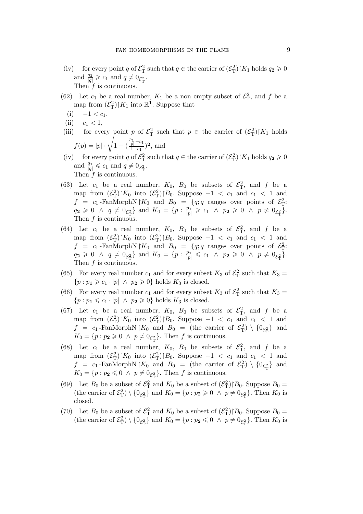- (iv) for every point q of  $\mathcal{E}_{\rm T}^2$  such that  $q \in \mathfrak{t}$  he carrier of  $(\mathcal{E}_{\rm T}^2)|K_1|$  holds  $q_2 \geq 0$ and  $\frac{q_1}{|q|} \geqslant c_1$  and  $q \neq 0_{\mathcal{E}_{\mathrm{T}}^2}$ . Then  $f$  is continuous.
- (62) Let  $c_1$  be a real number,  $K_1$  be a non empty subset of  $\mathcal{E}_T^2$ , and f be a map from  $(\mathcal{E}_{\mathcal{T}}^2)|K_1$  into  $\mathbb{R}^1$ . Suppose that
- $(i)$  −1 <  $c_1$ ,
- (ii)  $c_1 < 1$ ,
- (iii) for every point p of  $\mathcal{E}_T^2$  such that  $p \in \mathcal{E}_T$  the carrier of  $(\mathcal{E}_T^2)|K_1|$  holds  $f(p) = |p| \cdot \sqrt{1 - ($  $\frac{p_1}{|p|} - c_1$  $\frac{\overline{p}^{1-c_1}}{1+c_1}$ <sup>2</sup>, and
- (iv) for every point q of  $\mathcal{E}_{\rm T}^2$  such that  $q \in \mathfrak{t}$  he carrier of  $(\mathcal{E}_{\rm T}^2)|K_1|$  holds  $q_2 \geq 0$ and  $\frac{q_1}{|q|} \leqslant c_1$  and  $q \neq 0_{\mathcal{E}_{\mathrm{T}}^2}$ . Then  $f$  is continuous.
- (63) Let  $c_1$  be a real number,  $K_0$ ,  $B_0$  be subsets of  $\mathcal{E}_T^2$ , and f be a map from  $(\mathcal{E}_{\rm T}^2)|K_0$  into  $(\mathcal{E}_{\rm T}^2)|B_0$ . Suppose  $-1 < c_1$  and  $c_1 < 1$  and  $f = c_1$ -FanMorphN |  $K_0$  and  $B_0 = \{q; q \text{ ranges over points of } \mathcal{E}_{\mathrm{T}}^2$ :  $q_2 \geq 0 \ \land \ q \neq 0_{\mathcal{E}_{\mathrm{T}}^2} \}$  and  $K_0 = \{p : \frac{p_1}{|p|} \geqslant c_1 \ \land \ p_2 \geqslant 0 \ \land \ p \neq 0_{\mathcal{E}_{\mathrm{T}}^2} \}.$ Then  $f$  is continuous.
- (64) Let  $c_1$  be a real number,  $K_0$ ,  $B_0$  be subsets of  $\mathcal{E}_T^2$ , and f be a map from  $(\mathcal{E}_{\rm T}^2)|K_0$  into  $(\mathcal{E}_{\rm T}^2)|B_0$ . Suppose  $-1 < c_1$  and  $c_1 < 1$  and  $f = c_1$ -FanMorphN |  $K_0$  and  $B_0 = \{q; q \text{ ranges over points of } \mathcal{E}_{\mathrm{T}}^2\}$ .  $q_2 \geq 0 \ \land \ q \neq 0_{\mathcal{E}_{\mathrm{T}}^2} \}$  and  $K_0 = \{p : \frac{p_1}{|p|} \leqslant c_1 \ \land \ p_2 \geqslant 0 \ \land \ p \neq 0_{\mathcal{E}_{\mathrm{T}}^2} \}.$ Then  $f$  is continuous.
- (65) For every real number  $c_1$  and for every subset  $K_3$  of  $\mathcal{E}_T^2$  such that  $K_3 =$  ${p : p_1 \geq c_1 \cdot |p| \land p_2 \geq 0}$  holds  $K_3$  is closed.
- (66) For every real number  $c_1$  and for every subset  $K_3$  of  $\mathcal{E}^2$  such that  $K_3 =$  $\{p : p_1 \leq c_1 \cdot |p| \land p_2 \geq 0\}$  holds  $K_3$  is closed.
- (67) Let  $c_1$  be a real number,  $K_0$ ,  $B_0$  be subsets of  $\mathcal{E}_T^2$ , and f be a map from  $(\mathcal{E}_{\rm T}^2)|K_0$  into  $(\mathcal{E}_{\rm T}^2)|B_0$ . Suppose  $-1 < c_1$  and  $c_1 < 1$  and  $f = c_1$ -FanMorphN |K<sub>0</sub> and  $B_0 =$  (the carrier of  $\mathcal{E}_{\rm T}^2$ ) \  $\{0_{\mathcal{E}_{\rm T}^2}\}\$  and  $K_0 = \{p : p_2 \geq 0 \land p \neq 0_{\mathcal{E}^2_\mathcal{T}}\}.$  Then f is continuous.
- (68) Let  $c_1$  be a real number,  $K_0$ ,  $B_0$  be subsets of  $\mathcal{E}_T^2$ , and f be a map from  $(\mathcal{E}_{\rm T}^2)|K_0$  into  $(\mathcal{E}_{\rm T}^2)|B_0$ . Suppose  $-1 < c_1$  and  $c_1 < 1$  and  $f = c_1$ -FanMorphN | $K_0$  and  $B_0 =$  (the carrier of  $\mathcal{E}_{\rm T}^2$ ) \  $\{0_{\mathcal{E}_{\rm T}^2}\}\$  and  $K_0 = \{p : p_2 \leq 0 \land p \neq 0_{\mathcal{E}^2_\mathcal{T}}\}.$  Then f is continuous.
- (69) Let  $B_0$  be a subset of  $\mathcal{E}_T^2$  and  $K_0$  be a subset of  $(\mathcal{E}_T^2)|B_0$ . Suppose  $B_0 =$ (the carrier of  $\mathcal{E}_{\rm T}^2$ )  $\setminus \{0_{\mathcal{E}_{\rm T}^2}\}\$  and  $K_0 = \{p : p_2 \geq 0 \land p \neq 0_{\mathcal{E}_{\rm T}^2}\}\$ . Then  $K_0$  is closed.
- (70) Let  $B_0$  be a subset of  $\mathcal{E}_T^2$  and  $K_0$  be a subset of  $(\mathcal{E}_T^2)|B_0$ . Suppose  $B_0 =$ (the carrier of  $\mathcal{E}_{\rm T}^2$ )  $\setminus \{0_{\mathcal{E}_{\rm T}^2}\}\$  and  $K_0 = \{p : p_2 \leq 0 \land p \neq 0_{\mathcal{E}_{\rm T}^2}\}\$ . Then  $K_0$  is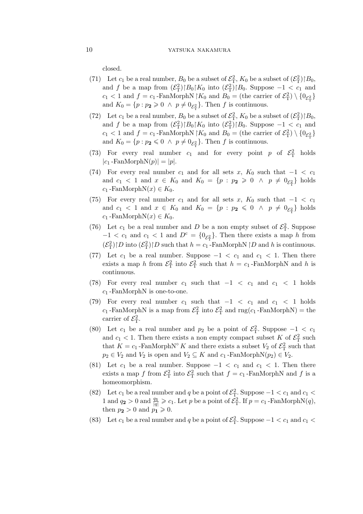closed.

- (71) Let  $c_1$  be a real number,  $B_0$  be a subset of  $\mathcal{E}_T^2$ ,  $K_0$  be a subset of  $(\mathcal{E}_T^2)$   $|B_0$ , and f be a map from  $(\mathcal{E}_{\text{T}}^2) \upharpoonright B_0 \upharpoonright K_0$  into  $(\mathcal{E}_{\text{T}}^2) \upharpoonright B_0$ . Suppose  $-1 < c_1$  and  $c_1 < 1$  and  $f = c_1$ -FanMorphN  $\vert K_0 \vert$  and  $B_0 =$  (the carrier of  $\mathcal{E}^2_{\rm T}$ )  $\setminus \{0_{\mathcal{E}^2_{\rm T}}\}$ and  $K_0 = \{p : p_2 \ge 0 \land p \neq 0_{\mathcal{E}_{\Gamma}^2}\}$ . Then f is continuous.
- (72) Let  $c_1$  be a real number,  $B_0$  be a subset of  $\mathcal{E}_T^2$ ,  $K_0$  be a subset of  $(\mathcal{E}_T^2)$   $|B_0$ , and f be a map from  $(\mathcal{E}_{\text{T}}^2) \upharpoonright B_0 \upharpoonright K_0$  into  $(\mathcal{E}_{\text{T}}^2) \upharpoonright B_0$ . Suppose  $-1 < c_1$  and  $c_1 < 1$  and  $f = c_1$ -FanMorphN  $\vert K_0 \vert$  and  $B_0 =$  (the carrier of  $\mathcal{E}^2_{\rm T}$ )  $\setminus \{0_{\mathcal{E}^2_{\rm T}}\}$ and  $K_0 = \{p : p_2 \leq 0 \land p \neq 0_{\mathcal{E}_T^2}\}$ . Then f is continuous.
- (73) For every real number  $c_1$  and for every point p of  $\mathcal{E}^2$  holds  $|c_1$  -FanMorphN $(p)| = |p|$ .
- (74) For every real number  $c_1$  and for all sets  $x$ ,  $K_0$  such that  $-1 < c_1$ and  $c_1 < 1$  and  $x \in K_0$  and  $K_0 = \{p : p_2 \geq 0 \land p \neq 0_{\mathcal{E}_T^2}\}\)$  holds  $c_1$  -FanMorphN $(x) \in K_0$ .
- (75) For every real number  $c_1$  and for all sets x,  $K_0$  such that  $-1 < c_1$ and  $c_1 < 1$  and  $x \in K_0$  and  $K_0 = \{p : p_2 \leq 0 \land p \neq 0_{\mathcal{E}_T^2}\}\)$  holds  $c_1$  -FanMorphN $(x) \in K_0$ .
- (76) Let  $c_1$  be a real number and D be a non empty subset of  $\mathcal{E}_T^2$ . Suppose  $-1 < c_1$  and  $c_1 < 1$  and  $D<sup>c</sup> = \{0_{\mathcal{E}^2_T}\}\.$  Then there exists a map h from  $(\mathcal{E}_{\mathrm{T}}^2)\upharpoonright D$  into  $(\mathcal{E}_{\mathrm{T}}^2)\upharpoonright D$  such that  $h = c_1$ -FanMorphN  $\upharpoonright D$  and h is continuous.
- (77) Let  $c_1$  be a real number. Suppose  $-1 < c_1$  and  $c_1 < 1$ . Then there exists a map h from  $\mathcal{E}_{\rm T}^2$  into  $\mathcal{E}_{\rm T}^2$  such that  $h = c_1$ -FanMorphN and h is continuous.
- (78) For every real number  $c_1$  such that  $-1 < c_1$  and  $c_1 < 1$  holds  $c_1$ -FanMorphN is one-to-one.
- (79) For every real number  $c_1$  such that  $-1 < c_1$  and  $c_1 < 1$  holds  $c_1$ -FanMorphN is a map from  $\mathcal{E}_{\rm T}^2$  into  $\mathcal{E}_{\rm T}^2$  and  ${\rm rng}(c_1$ -FanMorphN) = the carrier of  $\mathcal{E}_{\rm T}^2$ .
- (80) Let  $c_1$  be a real number and  $p_2$  be a point of  $\mathcal{E}_T^2$ . Suppose  $-1 < c_1$ and  $c_1 < 1$ . Then there exists a non empty compact subset K of  $\mathcal{E}^2$  such that  $K = c_1$ -FanMorphN<sup>°</sup> K and there exists a subset  $V_2$  of  $\mathcal{E}_{\rm T}^2$  such that  $p_2 \in V_2$  and  $V_2$  is open and  $V_2 \subseteq K$  and  $c_1$ -FanMorphN $(p_2) \in V_2$ .
- (81) Let  $c_1$  be a real number. Suppose  $-1 < c_1$  and  $c_1 < 1$ . Then there exists a map f from  $\mathcal{E}_{\rm T}^2$  into  $\mathcal{E}_{\rm T}^2$  such that  $f = c_1$ -FanMorphN and f is a homeomorphism.
- (82) Let  $c_1$  be a real number and q be a point of  $\mathcal{E}_{\rm T}^2$ . Suppose  $-1 < c_1$  and  $c_1 <$ 1 and  $q_2 > 0$  and  $\frac{q_1}{|q|} \geqslant c_1$ . Let p be a point of  $\tilde{\mathcal{E}}_T^2$ . If  $p = c_1$ -FanMorphN(q), then  $p_2 > 0$  and  $p_1 \geq 0$ .
- (83) Let  $c_1$  be a real number and q be a point of  $\mathcal{E}_T^2$ . Suppose  $-1 < c_1$  and  $c_1 <$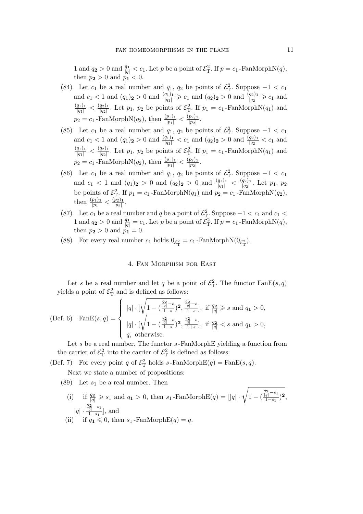1 and  $q_2 > 0$  and  $\frac{q_1}{|q|} < c_1$ . Let p be a point of  $\mathcal{E}_T^2$ . If  $p = c_1$ -FanMorphN $(q)$ , then  $p_2 > 0$  and  $p_1 < 0$ .

- (84) Let  $c_1$  be a real number and  $q_1$ ,  $q_2$  be points of  $\mathcal{E}_T^2$ . Suppose  $-1 < c_1$ and  $c_1 < 1$  and  $(q_1)_2 > 0$  and  $\frac{(q_1)_1}{|q_1|} \geqslant c_1$  and  $(q_2)_2 > 0$  and  $\frac{(q_2)_1}{|q_2|} \geqslant c_1$  and  $\frac{(q_1)_1}{|q_1|} < \frac{(q_2)_1}{|q_2|}$  $\frac{q_2}{|q_2|}$ . Let  $p_1$ ,  $p_2$  be points of  $\mathcal{E}_{\rm T}^2$ . If  $p_1 = c_1$ -FanMorphN( $q_1$ ) and  $p_2 = c_1$ -FanMorphN $(q_2)$ , then  $\frac{(p_1)_1}{|p_1|} < \frac{(p_2)_1}{|p_2|}$  $\frac{p_2}{|p_2|}$ .
- (85) Let  $c_1$  be a real number and  $q_1, q_2$  be points of  $\mathcal{E}_T^2$ . Suppose  $-1 < c_1$ and  $c_1 < 1$  and  $(q_1)_2 > 0$  and  $\frac{(q_1)_1}{|q_1|} < c_1$  and  $(q_2)_2 > 0$  and  $\frac{(q_2)_1}{|q_2|} < c_1$  and  $\frac{(q_1)_1}{|q_1|} < \frac{(q_2)_1}{|q_2|}$  $\frac{q_2}{|q_2|}$ . Let  $p_1$ ,  $p_2$  be points of  $\mathcal{E}_{\rm T}^2$ . If  $p_1 = c_1$ -FanMorphN( $q_1$ ) and  $p_2 = c_1$ -FanMorphN $(q_2)$ , then  $\frac{(p_1)_1}{|p_1|} < \frac{(p_2)_1}{|p_2|}$  $\frac{p_2}{|p_2|}$ .
- (86) Let  $c_1$  be a real number and  $q_1$ ,  $q_2$  be points of  $\mathcal{E}_T^2$ . Suppose  $-1 < c_1$ and  $c_1 < 1$  and  $(q_1)_2 > 0$  and  $(q_2)_2 > 0$  and  $\frac{(q_1)_1}{|q_1|} < \frac{(q_2)_1}{|q_2|}$ *|*q2*|* . Let p1, p<sup>2</sup> be points of  $\mathcal{E}_{\rm T}^2$ . If  $p_1 = c_1$ -FanMorphN( $q_1$ ) and  $p_2 = c_1$ -FanMorphN( $q_2$ ), then  $\frac{(p_1)_1}{|p_1|} < \frac{(p_2)_1}{|p_2|}$  $\frac{p_2}{|p_2|}$ .
- (87) Let  $c_1$  be a real number and q be a point of  $\mathcal{E}_{\rm T}^2$ . Suppose  $-1 < c_1$  and  $c_1 <$ 1 and  $q_2 > 0$  and  $\frac{q_1}{|q|} = c_1$ . Let p be a point of  $\mathcal{E}_{\rm T}^2$ . If  $p = c_1$ -FanMorphN $(q)$ , then  $p_2 > 0$  and  $p_1^{\{1\}} = 0$ .
- (88) For every real number  $c_1$  holds  $0_{\mathcal{E}_{\rm T}^2} = c_1$ -FanMorphN $(0_{\mathcal{E}_{\rm T}^2})$ .

# 4. Fan Morphism for East

Let s be a real number and let q be a point of  $\mathcal{E}^2$ . The functor  $\text{FanE}(s,q)$ yields a point of  $\mathcal{E}_{\mathrm{T}}^2$  and is defined as follows:

(Def. 6) 
$$
\text{FanE}(s, q) = \begin{cases} |q| \cdot \left[ \sqrt{1 - \left( \frac{q_2}{|q|} - s \right)^2}, \frac{\frac{q_2}{|q|} - s}{1 - s} \right], \text{ if } \frac{q_2}{|q|} \geq s \text{ and } q_1 > 0, \\ |q| \cdot \left[ \sqrt{1 - \left( \frac{q_2}{|q|} - s \right)^2}, \frac{\frac{q_2}{|q|} - s}{1 + s} \right], \text{ if } \frac{q_2}{|q|} < s \text{ and } q_1 > 0, \\ q, \text{ otherwise.} \end{cases}
$$

Let s be a real number. The functor s-FanMorphE yielding a function from the carrier of  $\mathcal{E}_{\rm T}^2$  into the carrier of  $\mathcal{E}_{\rm T}^2$  is defined as follows:

(Def. 7) For every point q of  $\mathcal{E}_{\rm T}^2$  holds  $s$ -FanMorphE(q) = FanE(s,q). Next we state a number of propositions:

- (89) Let  $s_1$  be a real number. Then
	- (i) if  $\frac{q_2}{|q|} \geqslant s_1$  and  $q_1 > 0$ , then  $s_1$ -FanMorphE(q) = [|q| ·  $\sqrt{1-(1-1)^2}$  $\frac{q_2}{|q|} - s_1$  $\frac{\overline{\overline{q}^{\,}-s_{1}}}{1-s_{1}})$ <sup>2</sup>, *|*q*| ·*  $\frac{q_2}{|q|} - s_1$ <sup>q</sup><sup>[-1</sup>], and (ii) if  $q_1 \leq 0$ , then  $s_1$ -FanMorphE(q) = q.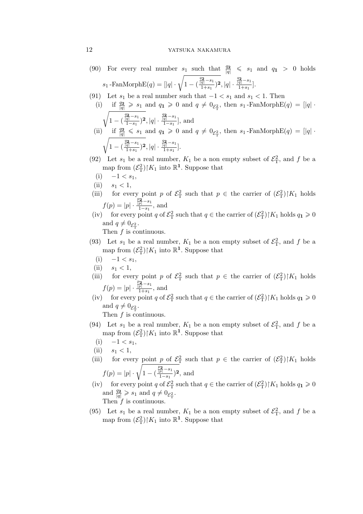# 12 YATSUKA NAKAMURA

- (90) For every real number  $s_1$  such that  $\frac{q_2}{|q|} \leq s_1$  and  $q_1 > 0$  holds  $s_1$  -FanMorphE(q) = [|q| ·  $\sqrt{1 - (t)}$ q**2** *<sup>|</sup>*q*<sup>|</sup> −*s<sup>1</sup>  $\frac{\frac{q_2}{q_1}-s_1}{1+s_1}$ <sup>2</sup>,  $|q| \cdot \frac{\frac{q_2}{|q|}-s_1}{1+s_1}$  $\frac{q|}{1+s_1}$ .
- (91) Let  $s_1$  be a real number such that  $-1 < s_1$  and  $s_1 < 1$ . Then
- (i) if  $\frac{q_2}{|q|} \geqslant s_1$  and  $q_1 \geqslant 0$  and  $q \neq 0_{\mathcal{E}_T^2}$ , then  $s_1$ -FanMorphE $(q) = |q|$ . <sup>1</sup> 1 *−* ( q**2** *<sup>|</sup>*q*<sup>|</sup> −*s<sup>1</sup>  $\frac{\frac{q_2}{q_1} - s_1}{1 - s_1}$ <sup>2</sup>, |*q*| ·  $\frac{\frac{q_2}{|q|} - s_1}{1 - s_1}$ <sup>q</sup><sup>[-1</sup>], and (ii) if  $\frac{q_2}{|q|} \leqslant s_1$  and  $q_1 \geqslant 0$  and  $q \neq 0_{\mathcal{E}^2_T}$ , then  $s_1$ -FanMorphE $(q) = |q|$ . <sup>1</sup> 1 *−* ( q**2** *<sup>|</sup>*q*<sup>|</sup> −*s<sup>1</sup>  $\frac{\frac{q_2}{q_1}-s_1}{1+s_1}$ <sup>2</sup>,  $|q| \cdot \frac{\frac{q_2}{|q|}-s_1}{1+s_1}$  $\frac{q|}{1+s_1}$ .
- (92) Let  $s_1$  be a real number,  $K_1$  be a non empty subset of  $\mathcal{E}_T^2$ , and f be a map from  $(\mathcal{E}_{\mathcal{T}}^2)|K_1$  into  $\mathbb{R}^1$ . Suppose that
	- (i)  $-1 < s_1$ ,
- (ii)  $s_1 < 1$ ,
- (iii) for every point p of  $\mathcal{E}_T^2$  such that  $p \in \mathcal{E}_T$  the carrier of  $(\mathcal{E}_T^2)|K_1|$  holds  $f(p) = |p| \cdot \cdot$  $\frac{p_{2}}{|p|} - s_{1}$ <sup>*p*|  $\frac{r}{1-s_1}$ </sup>, and
- (iv) for every point q of  $\mathcal{E}_{\rm T}^2$  such that  $q \in \mathfrak{t}$  he carrier of  $(\mathcal{E}_{\rm T}^2)|K_1|$  holds  $q_1 \geq 0$ and  $q \neq 0_{\mathcal{E}_{\mathrm{T}}^2}$ .

Then  $f$  is continuous.

- (93) Let  $s_1$  be a real number,  $K_1$  be a non empty subset of  $\mathcal{E}_T^2$ , and f be a map from  $(\mathcal{E}_{\mathcal{T}}^2)|K_1$  into  $\mathbb{R}^1$ . Suppose that
	- $(i)$  −1 <  $s_1$ ,
- (ii)  $s_1 < 1$ ,
- (iii) for every point p of  $\mathcal{E}_T^2$  such that  $p \in \mathcal{E}_T$  the carrier of  $(\mathcal{E}_T^2)|K_1|$  holds  $f(p) = |p| \cdot \cdot$  $\frac{p_{2}}{|p|} - s_{1}$  $\frac{p|}{1+s_1}$ , and
- (iv) for every point q of  $\mathcal{E}_{\rm T}^2$  such that  $q \in \mathbb{R}$  the carrier of  $(\mathcal{E}_{\rm T}^2)|K_1|$  holds  $q_1 \geq 0$ and  $q \neq 0_{\mathcal{E}_{\mathrm{T}}^2}$ .

- (94) Let  $s_1$  be a real number,  $K_1$  be a non empty subset of  $\mathcal{E}_T^2$ , and f be a map from  $(\mathcal{E}_{\mathcal{T}}^2)|K_1$  into  $\mathbb{R}^1$ . Suppose that
	- $(i)$  −1 <  $s_1$ ,
- (ii)  $s_1 < 1$ ,
- (iii) for every point p of  $\mathcal{E}_T^2$  such that  $p \in \mathcal{E}_T$  the carrier of  $(\mathcal{E}_T^2)|K_1|$  holds  $f(p) = |p| \cdot \sqrt{1 - ($  $\frac{p_{2}}{|p|} - s_{1}$  $\frac{\overline{p}$ <sup>[-s<sub>1</sub></sup>)<sup>2</sup>, and
- (iv) for every point q of  $\mathcal{E}_{\rm T}^2$  such that  $q \in \mathfrak{t}$  he carrier of  $(\mathcal{E}_{\rm T}^2)|K_1|$  holds  $q_1 \geq 0$ and  $\frac{q_2}{|q|} \geqslant s_1$  and  $q \neq 0_{\mathcal{E}_{\mathrm{T}}^2}$ . Then  $f$  is continuous.
- (95) Let  $s_1$  be a real number,  $K_1$  be a non empty subset of  $\mathcal{E}_T^2$ , and f be a map from  $(\mathcal{E}_{\mathcal{T}}^2)|K_1$  into  $\mathbb{R}^1$ . Suppose that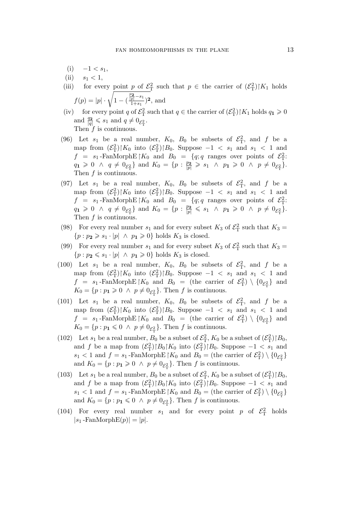- $(i)$  −1 <  $s_1$ ,
- (ii)  $s_1 < 1$ ,
- (iii) for every point p of  $\mathcal{E}_T^2$  such that  $p \in \mathcal{E}_T$  the carrier of  $(\mathcal{E}_T^2)|K_1|$  holds  $f(p) = |p| \cdot \sqrt{1 - ($  $\frac{p_{2}}{|p|} - s_{1}$  $\frac{\overline{p}^{-s_1}}{1+s_1}$ <sup>2</sup>, and
- (iv) for every point q of  $\mathcal{E}_{\rm T}^2$  such that  $q \in \mathfrak{t}$  he carrier of  $(\mathcal{E}_{\rm T}^2)|K_1|$  holds  $q_1 \geq 0$ and  $\frac{q_2}{|q|} \leqslant s_1$  and  $q \neq 0_{\mathcal{E}_{\mathrm{T}}^2}$ . Then  $f$  is continuous.
- (96) Let  $s_1$  be a real number,  $K_0$ ,  $B_0$  be subsets of  $\mathcal{E}_T^2$ , and f be a map from  $(\mathcal{E}_{\rm T}^2)|K_0$  into  $(\mathcal{E}_{\rm T}^2)|B_0$ . Suppose  $-1 < s_1$  and  $s_1 < 1$  and  $f = s_1$ -FanMorphE $\vert K_0 \vert$  and  $B_0 = \{q; q \text{ ranges over points of } \mathcal{E}^2_T: \mathcal{E}^2_T\}$  $q_1 \geq 0 \ \land \ q \neq 0_{\mathcal{E}_{\mathrm{T}}^2} \}$  and  $K_0 = \{p : \frac{p_2}{|p|} \geqslant s_1 \ \land \ p_1 \geqslant 0 \ \land \ p \neq 0_{\mathcal{E}_{\mathrm{T}}^2} \}.$ Then  $f$  is continuous.
- (97) Let  $s_1$  be a real number,  $K_0$ ,  $B_0$  be subsets of  $\mathcal{E}_T^2$ , and f be a map from  $(\mathcal{E}_{\rm T}^2)|K_0$  into  $(\mathcal{E}_{\rm T}^2)|B_0$ . Suppose  $-1 < s_1$  and  $s_1 < 1$  and  $f = s_1$ -FanMorphE $\vert K_0 \vert$  and  $B_0 = \{q; q \text{ ranges over points of } \mathcal{E}_{\mathrm{T}}^2$ .  $q_1 \geq 0 \ \land \ q \neq 0_{\mathcal{E}_{\mathrm{T}}^2} \}$  and  $K_0 = \{p : \frac{p_2}{|p|} \leqslant s_1 \ \land \ p_1 \geqslant 0 \ \land \ p \neq 0_{\mathcal{E}_{\mathrm{T}}^2} \}.$ Then  $f$  is continuous.
- (98) For every real number  $s_1$  and for every subset  $K_3$  of  $\mathcal{E}^2$  such that  $K_3 =$  ${p : p_2 \geq s_1 \cdot |p| \land p_1 \geq 0}$  holds  $K_3$  is closed.
- (99) For every real number  $s_1$  and for every subset  $K_3$  of  $\mathcal{E}^2$  such that  $K_3 =$  $\{p : p_2 \leq s_1 \cdot |p| \land p_1 \geq 0\}$  holds  $K_3$  is closed.
- (100) Let  $s_1$  be a real number,  $K_0$ ,  $B_0$  be subsets of  $\mathcal{E}_T^2$ , and f be a map from  $(\mathcal{E}_{\rm T}^2)|K_0$  into  $(\mathcal{E}_{\rm T}^2)|B_0$ . Suppose  $-1 < s_1$  and  $s_1 < 1$  and  $f = s_1$ -FanMorphE $\vert K_0 \vert$  and  $B_0 =$  (the carrier of  $\mathcal{E}^2_T$ )  $\setminus \{0_{\mathcal{E}^2_T}\}\$  and  $K_0 = \{p : p_1 \geq 0 \land p \neq 0_{\mathcal{E}_{\mathrm{T}}^2}\}\.$  Then f is continuous.
- (101) Let  $s_1$  be a real number,  $K_0$ ,  $B_0$  be subsets of  $\mathcal{E}_T^2$ , and f be a map from  $(\mathcal{E}_{\rm T}^2)|K_0$  into  $(\mathcal{E}_{\rm T}^2)|B_0$ . Suppose  $-1 < s_1$  and  $s_1 < 1$  and  $f = s_1$ -FanMorphE $\vert K_0 \vert$  and  $B_0 =$  (the carrier of  $\mathcal{E}^2_T$ )  $\setminus \{0_{\mathcal{E}^2_T}\}\$  and  $K_0 = \{p : p_1 \leq 0 \land p \neq 0_{\mathcal{E}^2_\mathcal{T}}\}.$  Then f is continuous.
- (102) Let  $s_1$  be a real number,  $B_0$  be a subset of  $\mathcal{E}_T^2$ ,  $K_0$  be a subset of  $(\mathcal{E}_T^2)$   $|B_0$ , and f be a map from  $(\mathcal{E}_{\text{T}}^2) \upharpoonright B_0 \upharpoonright K_0$  into  $(\mathcal{E}_{\text{T}}^2) \upharpoonright B_0$ . Suppose  $-1 < s_1$  and  $s_1 < 1$  and  $f = s_1$ -FanMorphE $\vert K_0 \vert$  and  $B_0 =$  (the carrier of  $\mathcal{E}^2_T$ )  $\setminus \{0_{\mathcal{E}^2_T}\}$ and  $K_0 = \{p : p_1 \geq 0 \land p \neq 0_{\mathcal{E}_{\mathrm{T}}^2}\}\.$  Then f is continuous.
- (103) Let  $s_1$  be a real number,  $B_0$  be a subset of  $\mathcal{E}_T^2$ ,  $K_0$  be a subset of  $(\mathcal{E}_T^2)$   $|B_0$ , and f be a map from  $(\mathcal{E}_{\rm T}^2) \upharpoonright B_0 \upharpoonright K_0$  into  $(\mathcal{E}_{\rm T}^2) \upharpoonright B_0$ . Suppose  $-1 < s_1$  and  $s_1 < 1$  and  $f = s_1$ -FanMorphE $\vert K_0 \vert$  and  $B_0 =$  (the carrier of  $\mathcal{E}^2_T$ )  $\setminus \{0_{\mathcal{E}^2_T}\}$ and  $K_0 = \{p : p_1 \leq 0 \land p \neq 0_{\mathcal{E}_{\Gamma}^2}\}\.$  Then f is continuous.
- (104) For every real number  $s_1$  and for every point p of  $\mathcal{E}_T^2$  holds  $|s_1$ -FanMorphE $(p)| = |p|$ .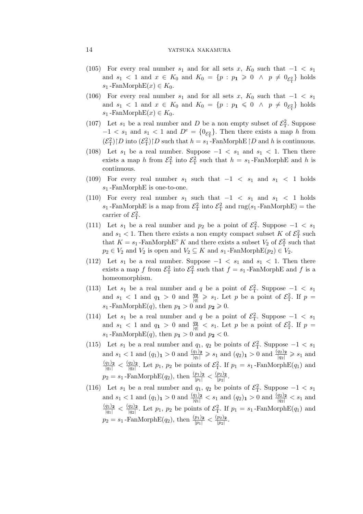- (105) For every real number  $s_1$  and for all sets  $x$ ,  $K_0$  such that  $-1 < s_1$ and  $s_1 < 1$  and  $x \in K_0$  and  $K_0 = \{p : p_1 \geq 0 \land p \neq 0_{\mathcal{E}_T^2}\}\$  holds  $s_1$  -FanMorphE $(x) \in K_0$ .
- (106) For every real number  $s_1$  and for all sets x,  $K_0$  such that  $-1 < s_1$ and  $s_1 < 1$  and  $x \in K_0$  and  $K_0 = \{p : p_1 \leq 0 \land p \neq 0_{\mathcal{E}_T^2}\}\$  holds  $s_1$ -FanMorphE $(x) \in K_0$ .
- (107) Let  $s_1$  be a real number and D be a non empty subset of  $\mathcal{E}_T^2$ . Suppose  $-1 < s_1$  and  $s_1 < 1$  and  $D<sup>c</sup> = \{0_{\mathcal{E}_T^2}\}\$ . Then there exists a map h from  $(\mathcal{E}_{\mathrm{T}}^2)\upharpoonright D$  into  $(\mathcal{E}_{\mathrm{T}}^2)\upharpoonright D$  such that  $h = s_1$ -FanMorphE $\upharpoonright D$  and h is continuous.
- (108) Let  $s_1$  be a real number. Suppose  $-1 < s_1$  and  $s_1 < 1$ . Then there exists a map h from  $\mathcal{E}_{\rm T}^2$  into  $\mathcal{E}_{\rm T}^2$  such that  $h = s_1$ -FanMorphE and h is continuous.
- (109) For every real number  $s_1$  such that  $-1 < s_1$  and  $s_1 < 1$  holds  $s_1$ -FanMorphE is one-to-one.
- (110) For every real number  $s_1$  such that  $-1 < s_1$  and  $s_1 < 1$  holds  $s_1$ -FanMorphE is a map from  $\mathcal{E}_{\rm T}^2$  into  $\mathcal{E}_{\rm T}^2$  and  $\text{rng}(s_1\text{-FanMorphE}) = \text{the}$ carrier of  $\mathcal{E}_{\rm T}^2$ .
- (111) Let  $s_1$  be a real number and  $p_2$  be a point of  $\mathcal{E}_T^2$ . Suppose  $-1 < s_1$ and  $s_1 < 1$ . Then there exists a non empty compact subset K of  $\mathcal{E}^2$  such that  $K = s_1$ -FanMorphE<sup>°</sup> K and there exists a subset  $V_2$  of  $\mathcal{E}^2$  such that  $p_2 \in V_2$  and  $V_2$  is open and  $V_2 \subseteq K$  and  $s_1$ -FanMorphE $(p_2) \in V_2$ .
- (112) Let  $s_1$  be a real number. Suppose  $-1 < s_1$  and  $s_1 < 1$ . Then there exists a map f from  $\mathcal{E}_{\rm T}^2$  into  $\mathcal{E}_{\rm T}^2$  such that  $f = s_1$ -FanMorphE and f is a homeomorphism.
- (113) Let  $s_1$  be a real number and q be a point of  $\mathcal{E}_T^2$ . Suppose  $-1 < s_1$ and  $s_1 < 1$  and  $q_1 > 0$  and  $\frac{q_2}{|q|} \geqslant s_1$ . Let p be a point of  $\mathcal{E}_T^2$ . If  $p =$  $s_1$ -FanMorphE(q), then  $p_1 > 0$  and  $p_2 \ge 0$ .
- (114) Let  $s_1$  be a real number and q be a point of  $\mathcal{E}_T^2$ . Suppose  $-1 < s_1$ and  $s_1 < 1$  and  $q_1 > 0$  and  $\frac{q_2}{|q|} < s_1$ . Let p be a point of  $\mathcal{E}_T^2$ . If  $p =$  $s_1$ -FanMorphE(q), then  $p_1 > 0$  and  $p_2 < 0$ .
- (115) Let  $s_1$  be a real number and  $q_1, q_2$  be points of  $\mathcal{E}_T^2$ . Suppose  $-1 < s_1$ and  $s_1 < 1$  and  $(q_1)$ <sub>1</sub>  $> 0$  and  $\frac{(q_1)_2}{|q_1|} \geqslant s_1$  and  $(q_2)$ <sub>1</sub>  $> 0$  and  $\frac{(q_2)_2}{|q_2|} \geqslant s_1$  and  $\frac{(q_1)_2}{|q_1|} < \frac{(q_2)_2}{|q_2|}$  $\frac{q_2}{|q_2|}$ . Let  $p_1$ ,  $p_2$  be points of  $\mathcal{E}_{\rm T}^2$ . If  $p_1 = s_1$ -FanMorphE( $q_1$ ) and  $p_2 = s_1$ -FanMorphE $(q_2)$ , then  $\frac{(p_1)_2}{|p_1|} < \frac{(p_2)_2}{|p_2|}$  $\frac{p_2}{|p_2|}$ .
- (116) Let  $s_1$  be a real number and  $q_1, q_2$  be points of  $\mathcal{E}_T^2$ . Suppose  $-1 < s_1$ and  $s_1 < 1$  and  $(q_1)$ <sub>1</sub>  $> 0$  and  $\frac{(q_1)_2}{|q_1|} < s_1$  and  $(q_2)$ <sub>1</sub>  $> 0$  and  $\frac{(q_2)_2}{|q_2|} < s_1$  and  $\frac{(q_1)_2}{|q_1|} < \frac{(q_2)_2}{|q_2|}$  $\frac{q_2}{|q_2|}$ . Let  $p_1$ ,  $p_2$  be points of  $\mathcal{E}_{\rm T}^2$ . If  $p_1 = s_1$ -FanMorphE( $q_1$ ) and  $p_2 = s_1$ -FanMorphE( $q_2$ ), then  $\frac{(p_1)_2}{|p_1|} < \frac{(p_2)_2}{|p_2|}$  $\frac{p_2}{|p_2|}$ .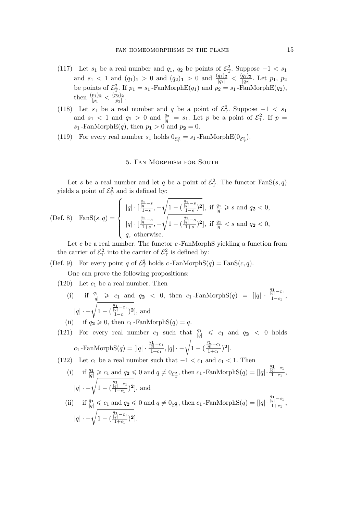- (117) Let  $s_1$  be a real number and  $q_1, q_2$  be points of  $\mathcal{E}_T^2$ . Suppose  $-1 < s_1$ and  $s_1 < 1$  and  $(q_1)_{\mathbf{1}} > 0$  and  $(q_2)_{\mathbf{1}} > 0$  and  $\frac{(q_1)_{\mathbf{2}}}{|q_1|} < \frac{(q_2)_{\mathbf{2}}}{|q_2|}$ *|*q2*|* . Let p1, p<sup>2</sup> be points of  $\mathcal{E}_{\rm T}^2$ . If  $p_1 = s_1$ -FanMorphE( $q_1$ ) and  $p_2 = s_1$ -FanMorphE( $q_2$ ), then  $\frac{(p_1)_2}{|p_1|} < \frac{(p_2)_2}{|p_2|}$  $\frac{p_2}{|p_2|}$ .
- (118) Let  $s_1$  be a real number and q be a point of  $\mathcal{E}_T^2$ . Suppose  $-1 < s_1$ and  $s_1 < 1$  and  $q_1 > 0$  and  $\frac{q_2}{|q|} = s_1$ . Let p be a point of  $\mathcal{E}^2$ . If  $p =$  $s_1$ -FanMorphE(q), then  $p_1 > 0$  and  $p_2 = 0$ .
- (119) For every real number  $s_1$  holds  $0_{\mathcal{E}_{\tau}^2} = s_1$ -FanMorphE $(0_{\mathcal{E}_{\tau}^2})$ .

## 5. Fan Morphism for South

Let s be a real number and let q be a point of  $\mathcal{E}_{\rm T}^2$ . The functor  $\text{FanS}(s,q)$ yields a point of  $\mathcal{E}_{\mathrm{T}}^2$  and is defined by:

(Def. 8) 
$$
\text{Fans}(s, q) = \begin{cases} |q| \cdot \left[ \frac{\frac{q_1}{|q|} - s}{1 - s}, -\sqrt{1 - \left( \frac{\frac{q_1}{|q|} - s}{1 - s} \right)^2} \right], \text{ if } \frac{q_1}{|q|} \ge s \text{ and } q_2 < 0, \\ |q| \cdot \left[ \frac{\frac{q_1}{|q|} - s}{1 + s}, -\sqrt{1 - \left( \frac{\frac{q_1}{|q|} - s}{1 + s} \right)^2} \right], \text{ if } \frac{q_1}{|q|} < s \text{ and } q_2 < 0, \\ q, \text{ otherwise.} \end{cases}
$$

Let  $c$  be a real number. The functor  $c$ -FanMorphS yielding a function from the carrier of  $\mathcal{E}_{\rm T}^2$  into the carrier of  $\mathcal{E}_{\rm T}^2$  is defined by:

(Def. 9) For every point q of  $\mathcal{E}_T^2$  holds c-FanMorphS(q) = FanS(c, q).

One can prove the following propositions:

 $(120)$  Let  $c_1$  be a real number. Then

- (i) if  $\frac{q_1}{|q|} \geq c_1$  and  $q_2 < 0$ , then  $c_1$ -FanMorphS(q) =  $||q||$ .  $\frac{q_1}{|q|} - c_1$  $\frac{q_1}{1-c_1}$ , *|q*| · − $\sqrt{1 - ($  $\frac{q_1}{|q|} - c_1$  $\frac{\overline{q}^{-c_1}}{1-c_1}$ <sup>2</sup>, and
- (ii) if  $q_2 \geqslant 0$ , then  $c_1$ -FanMorphS $(q) = q$ .
- (121) For every real number  $c_1$  such that  $\frac{q_1}{|q|} \leq c_1$  and  $q_2 < 0$  holds  $c_1$  -FanMorphS $(q) = ||q|| \cdot$  $\frac{q_1}{|q|} - c_1$ <u>*|1 −c*<sub>1</sub></u>  $|q|$  · − $\sqrt{1 - ($  $\frac{q_1}{|q|} - c_1$  $\frac{\overline{\overline{q}^{\hspace{1pt}|-}c_{1}}}{1+c_{1}}$ <sup>2</sup>].

(122) Let  $c_1$  be a real number such that  $-1 < c_1$  and  $c_1 < 1$ . Then

- (i) if  $\frac{q_1}{|q|} \geqslant c_1$  and  $q_2 \leqslant 0$  and  $q \neq 0_{\mathcal{E}_T^2}$ , then  $c_1$ -FanMorphS $(q) = |q|$ ·  $\frac{q_1}{|q|} - c_1$  $\frac{q|}{1-c_1},$ *|q*| · − $\sqrt{1 - ($  $\frac{q_1}{|q|} - c_1$  $\frac{\frac{1}{q} - c_1}{1 - c_1}$ <sup>2</sup>, and
- (ii) if  $\frac{q_1}{|q|} \leq c_1$  and  $q_2 \leq 0$  and  $q \neq 0_{\mathcal{E}_{\mathrm{T}}^2}$ , then  $c_1$ -FanMorphS $(q) = [|q| \cdot$  $\frac{q_1}{|q|} - c_1$  $\frac{q_1}{1+c_1},$ *|q*| · − $\sqrt{1 - ($  $\frac{q_1}{|q|} - c_1$  $\frac{\overline{\overline{q}}^{--c_1}}{1+c_1}$ <sup>2</sup>].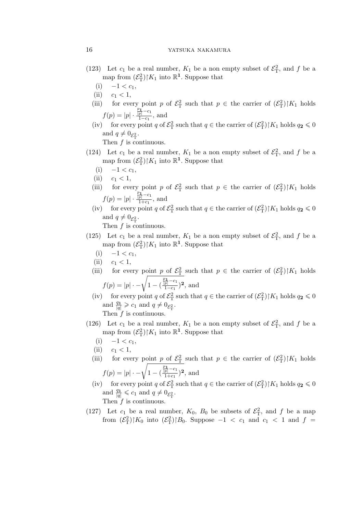# 16 YATSUKA NAKAMURA

- (123) Let  $c_1$  be a real number,  $K_1$  be a non empty subset of  $\mathcal{E}_T^2$ , and f be a map from  $(\mathcal{E}_{\mathcal{T}}^2)|K_1$  into  $\mathbb{R}^1$ . Suppose that
	- (i)  $−1 < c_1$ ,
	- (ii)  $c_1 < 1$ ,
	- (iii) for every point p of  $\mathcal{E}_T^2$  such that  $p \in \mathcal{E}_T$  the carrier of  $(\mathcal{E}_T^2)|K_1|$  holds  $f(p) = |p| \cdot \cdot$  $\frac{p_1}{|p|} - c_1$  $\frac{p|}{1-c_1}$ , and
	- (iv) for every point q of  $\mathcal{E}_{\rm T}^2$  such that  $q \in \mathfrak{t}$  he carrier of  $(\mathcal{E}_{\rm T}^2)|K_1|$  holds  $q_2 \leq 0$ and  $q \neq 0_{\mathcal{E}_{\mathrm{T}}^2}$ .

Then  $f$  is continuous.

- (124) Let  $c_1$  be a real number,  $K_1$  be a non empty subset of  $\mathcal{E}_T^2$ , and f be a map from  $(\mathcal{E}_{\mathcal{T}}^2)|K_1$  into  $\mathbb{R}^1$ . Suppose that
	- (i)  $-1 < c_1$ ,
	- (ii)  $c_1 < 1$ ,
	- (iii) for every point p of  $\mathcal{E}_T^2$  such that  $p \in \mathcal{E}_T$  the carrier of  $(\mathcal{E}_T^2)|K_1|$  holds  $f(p) = |p| \cdot \cdot$  $\frac{p_1}{|p|} - c_1$  $\frac{p|}{1+c_1}$ , and
	- (iv) for every point q of  $\mathcal{E}_{\rm T}^2$  such that  $q \in \mathfrak{t}$  the carrier of  $(\mathcal{E}_{\rm T}^2)|K_1|$  holds  $q_2 \leq 0$ and  $q \neq 0_{\mathcal{E}_{\mathrm{T}}^2}$ .

- (125) Let  $c_1$  be a real number,  $K_1$  be a non empty subset of  $\mathcal{E}_T^2$ , and f be a map from  $(\mathcal{E}_{\mathcal{T}}^2)|K_1$  into  $\mathbb{R}^1$ . Suppose that
	- $(i)$  −1 <  $c_1$ ,
	- (ii)  $c_1 < 1$ ,
	- (iii) for every point p of  $\mathcal{E}_T^2$  such that  $p \in \mathcal{E}_T$  the carrier of  $(\mathcal{E}_T^2)|K_1|$  holds  $f(p) = |p| \cdot -\sqrt{1 - ($  $\frac{p_1}{|p|} - c_1$  $\frac{\overline{p}$ <sup> $-c_1$ </sup> $(1-c_1)^2$ , and
	- (iv) for every point q of  $\mathcal{E}_{\rm T}^2$  such that  $q \in \mathfrak{t}$  he carrier of  $(\mathcal{E}_{\rm T}^2)|K_1|$  holds  $q_2 \leq 0$ and  $\frac{q_1}{|q|} \geqslant c_1$  and  $q \neq 0_{\mathcal{E}_{\mathrm{T}}^2}$ . Then  $f$  is continuous.
- (126) Let  $c_1$  be a real number,  $K_1$  be a non empty subset of  $\mathcal{E}_T^2$ , and f be a map from  $(\mathcal{E}_{\mathcal{T}}^2)|K_1$  into  $\mathbb{R}^1$ . Suppose that
	- (i)  $-1 < c_1$ ,
	- (ii)  $c_1 < 1$ ,
	- (iii) for every point p of  $\mathcal{E}_T^2$  such that  $p \in \mathcal{E}_T$  the carrier of  $(\mathcal{E}_T^2)|K_1|$  holds  $f(p) = |p| \cdot -\sqrt{1 - ($  $\frac{p_1}{|p|} - c_1$  $\frac{\overline{p}$ <sup> $-c_1$ </sup> $(1+c_1)$ <sup>2</sup>, and
	- (iv) for every point q of  $\mathcal{E}_{\rm T}^2$  such that  $q \in \mathfrak{t}$  he carrier of  $(\mathcal{E}_{\rm T}^2)|K_1|$  holds  $q_2 \leq 0$ and  $\frac{q_1}{|q|} \leqslant c_1$  and  $q \neq 0_{\mathcal{E}_{\mathrm{T}}^2}$ . Then  $f$  is continuous.
- (127) Let  $c_1$  be a real number,  $K_0$ ,  $B_0$  be subsets of  $\mathcal{E}_T^2$ , and f be a map from  $(\mathcal{E}_{\rm T}^2)|K_0$  into  $(\mathcal{E}_{\rm T}^2)|B_0$ . Suppose  $-1 < c_1$  and  $c_1 < 1$  and  $f =$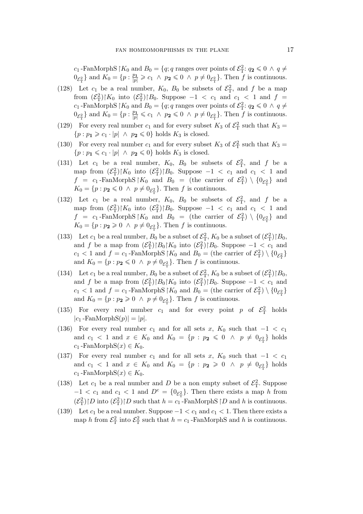c<sub>1</sub> -FanMorphS  $\upharpoonright$  K<sub>0</sub> and B<sub>0</sub> = {q; q ranges over points of  $\mathcal{E}_{\rm T}^2$ :  $q_2 \leq 0 \land q \neq 0$  $0_{\mathcal{E}_{\mathrm{T}}^2}$  and  $K_0 = \{p : \frac{p_1}{|p|} \geqslant c_1 \land p_2 \leqslant 0 \land p \neq 0_{\mathcal{E}_{\mathrm{T}}^2}\}$ . Then  $f$  is continuous.

- (128) Let  $c_1$  be a real number,  $K_0$ ,  $B_0$  be subsets of  $\mathcal{E}_T^2$ , and f be a map from  $(\mathcal{E}_{\rm T}^2)|K_0$  into  $(\mathcal{E}_{\rm T}^2)|B_0$ . Suppose  $-1 < c_1$  and  $c_1 < 1$  and  $f =$ c<sub>1</sub> -FanMorphS  $\restriction K_0$  and  $B_0 = \{q; q \text{ ranges over points of } \mathcal{E}^2_\text{T}: q_2 \leq 0 \land q \neq 0\}$  $0_{\mathcal{E}_{\mathrm{T}}^2}$  and  $K_0 = \{p : \frac{p_1}{|p|} \leqslant c_1 \land p_2 \leqslant 0 \land p \neq 0_{\mathcal{E}_{\mathrm{T}}^2}\}$ . Then f is continuous.
- (129) For every real number  $c_1$  and for every subset  $K_3$  of  $\mathcal{E}_T^2$  such that  $K_3 =$  ${p : p_1 \geq c_1 \cdot |p| \land p_2 \leq 0}$  holds  $K_3$  is closed.
- (130) For every real number  $c_1$  and for every subset  $K_3$  of  $\mathcal{E}_T^2$  such that  $K_3 =$  ${p : p_1 \leq c_1 \cdot |p| \land p_2 \leq 0}$  holds  $K_3$  is closed.
- (131) Let  $c_1$  be a real number,  $K_0$ ,  $B_0$  be subsets of  $\mathcal{E}_T^2$ , and f be a map from  $(\mathcal{E}_{\rm T}^2)|K_0$  into  $(\mathcal{E}_{\rm T}^2)|B_0$ . Suppose  $-1 < c_1$  and  $c_1 < 1$  and  $f = c_1$ -FanMorphS |  $K_0$  and  $B_0 =$  (the carrier of  $\mathcal{E}_{\rm T}^2$ ) \  $\{0_{\mathcal{E}_{\rm T}^2}\}\$  and  $K_0 = \{p : p_2 \leq 0 \land p \neq 0_{\mathcal{E}^2_\mathcal{T}}\}.$  Then f is continuous.
- (132) Let  $c_1$  be a real number,  $K_0$ ,  $B_0$  be subsets of  $\mathcal{E}_T^2$ , and f be a map from  $(\mathcal{E}_{\rm T}^2)|K_0$  into  $(\mathcal{E}_{\rm T}^2)|B_0$ . Suppose  $-1 < c_1$  and  $c_1 < 1$  and  $f = c_1$ -FanMorphS  $\vert K_0 \vert$  and  $B_0 =$  (the carrier of  $\mathcal{E}^2_T$ )  $\setminus \{0_{\mathcal{E}^2_T}\}\$  and  $K_0 = \{p : p_2 \geq 0 \land p \neq 0_{\mathcal{E}_{\mathrm{T}}^2}\}\.$  Then f is continuous.
- (133) Let  $c_1$  be a real number,  $B_0$  be a subset of  $\mathcal{E}_T^2$ ,  $K_0$  be a subset of  $(\mathcal{E}_T^2)$   $|B_0$ , and f be a map from  $(\mathcal{E}_{\rm T}^2) \upharpoonright B_0 \upharpoonright K_0$  into  $(\mathcal{E}_{\rm T}^2) \upharpoonright B_0$ . Suppose  $-1 < c_1$  and  $c_1 < 1$  and  $f = c_1$ -FanMorphS  $\vert K_0 \vert$  and  $B_0 =$  (the carrier of  $\mathcal{E}^2_{\rm T}$ )  $\setminus \{0_{\mathcal{E}^2_{\rm T}}\}$ and  $K_0 = \{p : p_2 \leq 0 \land p \neq 0_{\mathcal{E}_{\mathrm{T}}^2}\}\.$  Then f is continuous.
- (134) Let  $c_1$  be a real number,  $B_0$  be a subset of  $\mathcal{E}_T^2$ ,  $K_0$  be a subset of  $(\mathcal{E}_T^2)$   $|B_0$ , and f be a map from  $(\mathcal{E}_{\text{T}}^2) \upharpoonright B_0 \upharpoonright K_0$  into  $(\mathcal{E}_{\text{T}}^2) \upharpoonright B_0$ . Suppose  $-1 < c_1$  and  $c_1 < 1$  and  $f = c_1$ -FanMorphS  $\vert K_0 \vert$  and  $B_0 =$  (the carrier of  $\mathcal{E}^2_{\rm T}$ )  $\setminus \{0_{\mathcal{E}^2_{\rm T}}\}$ and  $K_0 = \{p : p_2 \ge 0 \land p \neq 0_{\mathcal{E}_T^2}\}$ . Then f is continuous.
- (135) For every real number  $c_1$  and for every point p of  $\mathcal{E}_T^2$  holds  $|c_1$  -FanMorphS $(p)| = |p|$ .
- (136) For every real number  $c_1$  and for all sets  $x, K_0$  such that  $-1 < c_1$ and  $c_1 < 1$  and  $x \in K_0$  and  $K_0 = \{p : p_2 \leq 0 \land p \neq 0_{\mathcal{E}_T^2}\}\)$  holds  $c_1$  -FanMorphS $(x) \in K_0$ .
- (137) For every real number  $c_1$  and for all sets  $x, K_0$  such that  $-1 < c_1$ and  $c_1 < 1$  and  $x \in K_0$  and  $K_0 = \{p : p_2 \geq 0 \land p \neq 0_{\mathcal{E}_T^2}\}\$  holds  $c_1$  -FanMorphS $(x) \in K_0$ .
- (138) Let  $c_1$  be a real number and D be a non empty subset of  $\mathcal{E}_T^2$ . Suppose  $-1 < c_1$  and  $c_1 < 1$  and  $D<sup>c</sup> = {0_{\mathcal{E}_T^2}}$ . Then there exists a map h from  $(\mathcal{E}_{\mathrm{T}}^2) \upharpoonright D$  into  $(\mathcal{E}_{\mathrm{T}}^2) \upharpoonright D$  such that  $h = c_1$ -FanMorphS  $\upharpoonright D$  and h is continuous.
- (139) Let  $c_1$  be a real number. Suppose  $-1 < c_1$  and  $c_1 < 1$ . Then there exists a map h from  $\mathcal{E}_{\rm T}^2$  into  $\mathcal{E}_{\rm T}^2$  such that  $h = c_1$ -FanMorphS and h is continuous.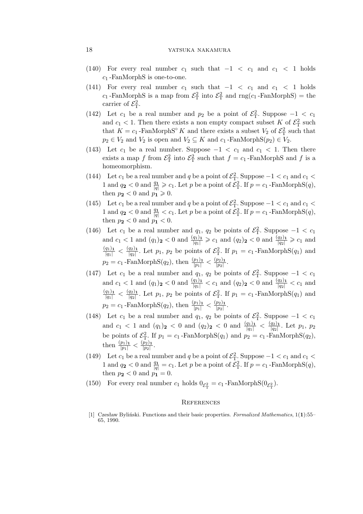- (140) For every real number  $c_1$  such that  $-1 < c_1$  and  $c_1 < 1$  holds  $c_1$ -FanMorphS is one-to-one.
- (141) For every real number  $c_1$  such that  $-1 < c_1$  and  $c_1 < 1$  holds  $c_1$ -FanMorphS is a map from  $\mathcal{E}_T^2$  into  $\mathcal{E}_T^2$  and  $\text{rng}(c_1\text{-FanMorphS}) = \text{the}$ carrier of  $\mathcal{E}_{\rm T}^2$ .
- (142) Let  $c_1$  be a real number and  $p_2$  be a point of  $\mathcal{E}_T^2$ . Suppose  $-1 < c_1$ and  $c_1 < 1$ . Then there exists a non empty compact subset K of  $\mathcal{E}^2$  such that  $K = c_1$ -FanMorphS<sup>°</sup> K and there exists a subset  $V_2$  of  $\mathcal{E}_{\rm T}^2$  such that  $p_2 \in V_2$  and  $V_2$  is open and  $V_2 \subseteq K$  and  $c_1$ -FanMorphS $(p_2) \in V_2$ .
- (143) Let  $c_1$  be a real number. Suppose  $-1 < c_1$  and  $c_1 < 1$ . Then there exists a map f from  $\mathcal{E}_{\rm T}^2$  into  $\mathcal{E}_{\rm T}^2$  such that  $f = c_1$ -FanMorphS and f is a homeomorphism.
- (144) Let  $c_1$  be a real number and q be a point of  $\mathcal{E}_T^2$ . Suppose  $-1 < c_1$  and  $c_1 <$ 1 and  $q_2 < 0$  and  $\frac{q_1}{|q|} \geqslant c_1$ . Let p be a point of  $\mathcal{E}_{\rm T}^2$ . If  $p = c_1$ -FanMorphS $(q)$ , then  $p_2 < 0$  and  $p_1 \geq 0$ .
- (145) Let  $c_1$  be a real number and q be a point of  $\mathcal{E}_T^2$ . Suppose  $-1 < c_1$  and  $c_1 <$ 1 and  $q_2 < 0$  and  $\frac{q_1}{|q|} < c_1$ . Let p be a point of  $\mathcal{E}_{\rm T}^2$ . If  $p = c_1$ -FanMorphS $(q)$ , then  $p_2 < 0$  and  $p_1 < 0$ .
- (146) Let  $c_1$  be a real number and  $q_1, q_2$  be points of  $\mathcal{E}_T^2$ . Suppose  $-1 < c_1$ and  $c_1 < 1$  and  $(q_1)_2 < 0$  and  $\frac{(q_1)_1}{|q_1|} \geq c_1$  and  $(q_2)_2 < 0$  and  $\frac{(q_2)_1}{|q_2|} \geq c_1$  and  $\frac{(q_1)_1}{|q_1|} < \frac{(q_2)_1}{|q_2|}$  $\frac{q_2}{|q_2|}$ . Let  $p_1$ ,  $p_2$  be points of  $\mathcal{E}_{\rm T}^2$ . If  $p_1 = c_1$ -FanMorphS( $q_1$ ) and  $p_2 = c_1$ -FanMorphS( $q_2$ ), then  $\frac{(p_1)_1}{|p_1|} < \frac{(p_2)_1}{|p_2|}$  $\frac{p_2}{|p_2|}$ .
- (147) Let  $c_1$  be a real number and  $q_1, q_2$  be points of  $\mathcal{E}_T^2$ . Suppose  $-1 < c_1$ and  $c_1 < 1$  and  $(q_1)_2 < 0$  and  $\frac{(q_1)_1}{|q_1|} < c_1$  and  $(q_2)_2 < 0$  and  $\frac{(q_2)_1}{|q_2|} < c_1$  and  $\frac{(q_1)_1}{|q_1|} < \frac{(q_2)_1}{|q_2|}$  $\frac{q_2}{|q_2|}$ . Let  $p_1$ ,  $p_2$  be points of  $\mathcal{E}_{\rm T}^2$ . If  $p_1 = c_1$ -FanMorphS( $q_1$ ) and  $p_2 = c_1$ -FanMorphS( $q_2$ ), then  $\frac{(p_1)_1}{|p_1|} < \frac{(p_2)_1}{|p_2|}$  $\frac{p_2}{|p_2|}$ .
- (148) Let  $c_1$  be a real number and  $q_1, q_2$  be points of  $\mathcal{E}_T^2$ . Suppose  $-1 < c_1$ and  $c_1 < 1$  and  $(q_1)_2 < 0$  and  $(q_2)_2 < 0$  and  $\frac{(q_1)_1}{|q_1|} < \frac{(q_2)_1}{|q_2|}$ . Let  $p_1, p_2$ *|*q2*|* be points of  $\mathcal{E}_{\rm T}^2$ . If  $p_1 = c_1$ -FanMorphS $(q_1)$  and  $p_2 = c_1$ -FanMorphS $(q_2)$ , then  $\frac{(p_1)_1}{|p_1|} < \frac{(p_2)_1}{|p_2|}$  $\frac{p_2}{|p_2|}$ .
- (149) Let  $c_1$  be a real number and q be a point of  $\mathcal{E}_T^2$ . Suppose  $-1 < c_1$  and  $c_1 <$ 1 and  $q_2 < 0$  and  $\frac{q_1}{|q|} = c_1$ . Let p be a point of  $\mathcal{E}_{\rm T}^2$ . If  $p = c_1$ -FanMorphS $(q)$ , then  $p_2 < 0$  and  $p_1 = 0$ .
- (150) For every real number  $c_1$  holds  $0_{\mathcal{E}_{\rm T}^2} = c_1$ -FanMorphS $(0_{\mathcal{E}_{\rm T}^2})$ .

#### **REFERENCES**

[1] Czesław Byliński. Functions and their basic properties. *Formalized Mathematics*, 1(**1**):55– 65, 1990.